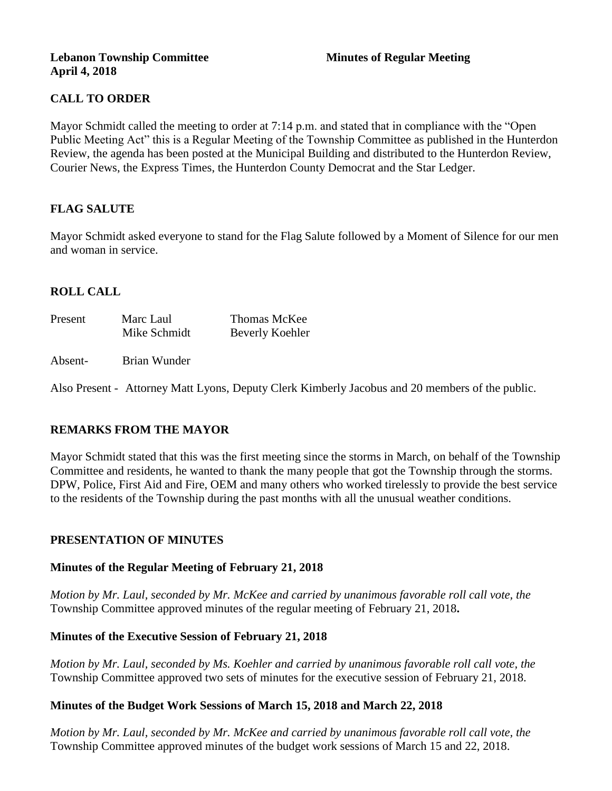### **Lebanon Township Committee 3 2008 Minutes of Regular Meeting April 4, 2018**

# **CALL TO ORDER**

Mayor Schmidt called the meeting to order at 7:14 p.m. and stated that in compliance with the "Open Public Meeting Act" this is a Regular Meeting of the Township Committee as published in the Hunterdon Review, the agenda has been posted at the Municipal Building and distributed to the Hunterdon Review, Courier News, the Express Times, the Hunterdon County Democrat and the Star Ledger.

## **FLAG SALUTE**

Mayor Schmidt asked everyone to stand for the Flag Salute followed by a Moment of Silence for our men and woman in service.

## **ROLL CALL**

| Present | Marc Laul    | Thomas McKee    |  |
|---------|--------------|-----------------|--|
|         | Mike Schmidt | Beverly Koehler |  |
|         |              |                 |  |

### Absent- Brian Wunder

Also Present - Attorney Matt Lyons, Deputy Clerk Kimberly Jacobus and 20 members of the public.

## **REMARKS FROM THE MAYOR**

Mayor Schmidt stated that this was the first meeting since the storms in March, on behalf of the Township Committee and residents, he wanted to thank the many people that got the Township through the storms. DPW, Police, First Aid and Fire, OEM and many others who worked tirelessly to provide the best service to the residents of the Township during the past months with all the unusual weather conditions.

### **PRESENTATION OF MINUTES**

### **Minutes of the Regular Meeting of February 21, 2018**

*Motion by Mr. Laul, seconded by Mr. McKee and carried by unanimous favorable roll call vote, the*  Township Committee approved minutes of the regular meeting of February 21, 2018**.** 

### **Minutes of the Executive Session of February 21, 2018**

*Motion by Mr. Laul, seconded by Ms. Koehler and carried by unanimous favorable roll call vote, the*  Township Committee approved two sets of minutes for the executive session of February 21, 2018.

## **Minutes of the Budget Work Sessions of March 15, 2018 and March 22, 2018**

*Motion by Mr. Laul, seconded by Mr. McKee and carried by unanimous favorable roll call vote, the*  Township Committee approved minutes of the budget work sessions of March 15 and 22, 2018.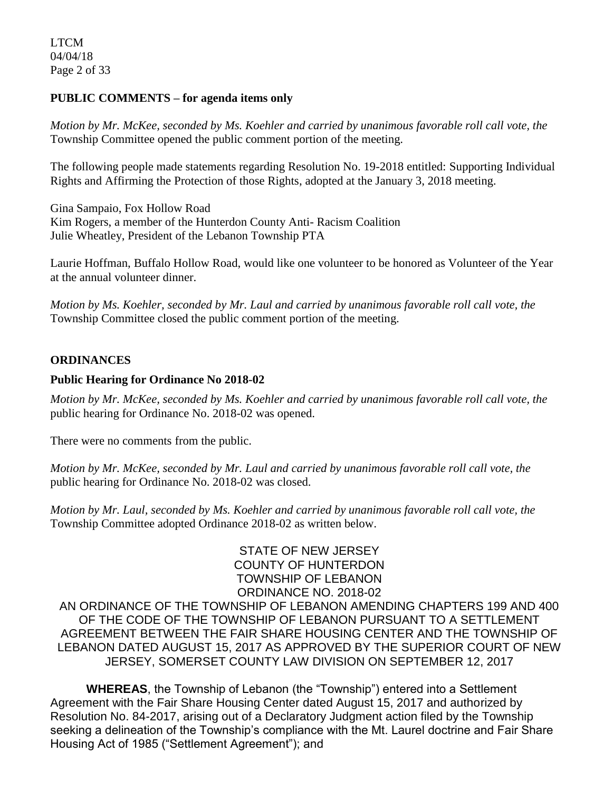LTCM 04/04/18 Page 2 of 33

### **PUBLIC COMMENTS – for agenda items only**

*Motion by Mr. McKee, seconded by Ms. Koehler and carried by unanimous favorable roll call vote, the*  Township Committee opened the public comment portion of the meeting.

The following people made statements regarding Resolution No. 19-2018 entitled: Supporting Individual Rights and Affirming the Protection of those Rights, adopted at the January 3, 2018 meeting.

Gina Sampaio, Fox Hollow Road Kim Rogers, a member of the Hunterdon County Anti- Racism Coalition Julie Wheatley, President of the Lebanon Township PTA

Laurie Hoffman, Buffalo Hollow Road, would like one volunteer to be honored as Volunteer of the Year at the annual volunteer dinner.

*Motion by Ms. Koehler, seconded by Mr. Laul and carried by unanimous favorable roll call vote, the*  Township Committee closed the public comment portion of the meeting.

### **ORDINANCES**

### **Public Hearing for Ordinance No 2018-02**

*Motion by Mr. McKee, seconded by Ms. Koehler and carried by unanimous favorable roll call vote, the*  public hearing for Ordinance No. 2018-02 was opened.

There were no comments from the public.

*Motion by Mr. McKee, seconded by Mr. Laul and carried by unanimous favorable roll call vote, the*  public hearing for Ordinance No. 2018-02 was closed.

*Motion by Mr. Laul, seconded by Ms. Koehler and carried by unanimous favorable roll call vote, the*  Township Committee adopted Ordinance 2018-02 as written below.

STATE OF NEW JERSEY COUNTY OF HUNTERDON TOWNSHIP OF LEBANON ORDINANCE NO. 2018-02 AN ORDINANCE OF THE TOWNSHIP OF LEBANON AMENDING CHAPTERS 199 AND 400 OF THE CODE OF THE TOWNSHIP OF LEBANON PURSUANT TO A SETTLEMENT AGREEMENT BETWEEN THE FAIR SHARE HOUSING CENTER AND THE TOWNSHIP OF LEBANON DATED AUGUST 15, 2017 AS APPROVED BY THE SUPERIOR COURT OF NEW JERSEY, SOMERSET COUNTY LAW DIVISION ON SEPTEMBER 12, 2017

**WHEREAS**, the Township of Lebanon (the "Township") entered into a Settlement Agreement with the Fair Share Housing Center dated August 15, 2017 and authorized by Resolution No. 84-2017, arising out of a Declaratory Judgment action filed by the Township seeking a delineation of the Township's compliance with the Mt. Laurel doctrine and Fair Share Housing Act of 1985 ("Settlement Agreement"); and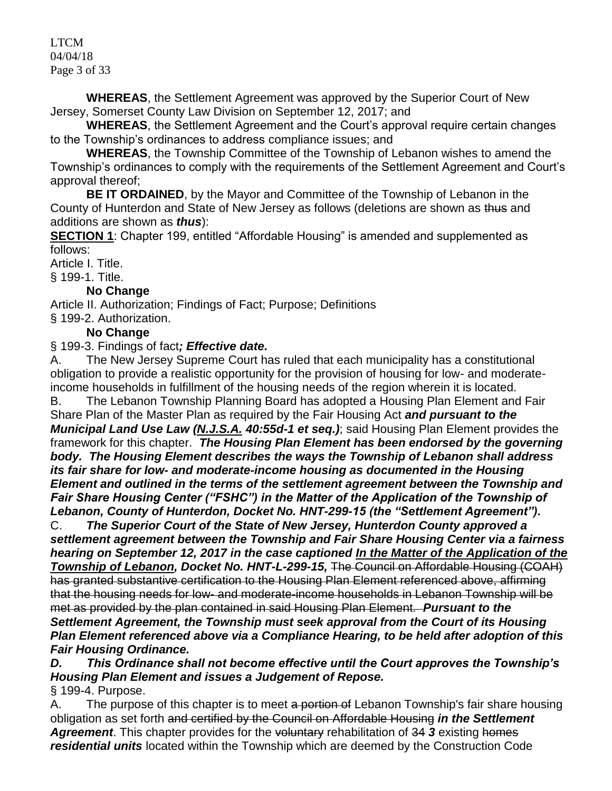LTCM 04/04/18 Page 3 of 33

**WHEREAS**, the Settlement Agreement was approved by the Superior Court of New Jersey, Somerset County Law Division on September 12, 2017; and

**WHEREAS**, the Settlement Agreement and the Court's approval require certain changes to the Township's ordinances to address compliance issues; and

**WHEREAS**, the Township Committee of the Township of Lebanon wishes to amend the Township's ordinances to comply with the requirements of the Settlement Agreement and Court's approval thereof;

**BE IT ORDAINED**, by the Mayor and Committee of the Township of Lebanon in the County of Hunterdon and State of New Jersey as follows (deletions are shown as thus and additions are shown as *thus*):

**SECTION 1**: Chapter 199, entitled "Affordable Housing" is amended and supplemented as follows:

[Article I. Title.](https://www.ecode360.com/print/LE2241?guid=6916840&children=true#6916841)

§ [199-1. Title.](https://www.ecode360.com/print/LE2241?guid=6916840&children=true#6916842)

# **No Change**

[Article II. Authorization; Findings of Fact; Purpose; Definitions](https://www.ecode360.com/print/LE2241?guid=6916840&children=true#6916843)

§ [199-2. Authorization.](https://www.ecode360.com/print/LE2241?guid=6916840&children=true#6916844)

# **No Change**

§ 199-3. Findings of fact*; Effective date.*

A. The New Jersey Supreme Court has ruled that each municipality has a constitutional obligation to provide a realistic opportunity for the provision of housing for low- and moderateincome households in fulfillment of the housing needs of the region wherein it is located.

B. The Lebanon Township Planning Board has adopted a Housing Plan Element and Fair Share Plan of the Master Plan as required by the Fair Housing Act *and pursuant to the Municipal Land Use Law (N.J.S.A. 40:55d-1 et seq.)*; said Housing Plan Element provides the framework for this chapter. *The Housing Plan Element has been endorsed by the governing body. The Housing Element describes the ways the Township of Lebanon shall address its fair share for low- and moderate-income housing as documented in the Housing Element and outlined in the terms of the settlement agreement between the Township and Fair Share Housing Center ("FSHC") in the Matter of the Application of the Township of Lebanon, County of Hunterdon, Docket No. HNT-299-15 (the "Settlement Agreement").*

C. *The Superior Court of the State of New Jersey, Hunterdon County approved a settlement agreement between the Township and Fair Share Housing Center via a fairness hearing on September 12, 2017 in the case captioned In the Matter of the Application of the Township of Lebanon, Docket No. HNT-L-299-15,* The Council on Affordable Housing (COAH) has granted substantive certification to the Housing Plan Element referenced above, affirming that the housing needs for low- and moderate-income households in Lebanon Township will be met as provided by the plan contained in said Housing Plan Element. *Pursuant to the Settlement Agreement, the Township must seek approval from the Court of its Housing Plan Element referenced above via a Compliance Hearing, to be held after adoption of this Fair Housing Ordinance.*

*D. This Ordinance shall not become effective until the Court approves the Township's Housing Plan Element and issues a Judgement of Repose.*

§ [199-4. Purpose.](https://www.ecode360.com/print/LE2241?guid=6916840&children=true#6916849)

A. The purpose of this chapter is to meet a portion of Lebanon Township's fair share housing obligation as set forth and certified by the Council on Affordable Housing *in the Settlement*  **Agreement.** This chapter provides for the voluntary rehabilitation of 34 3 existing homes *residential units* located within the Township which are deemed by the Construction Code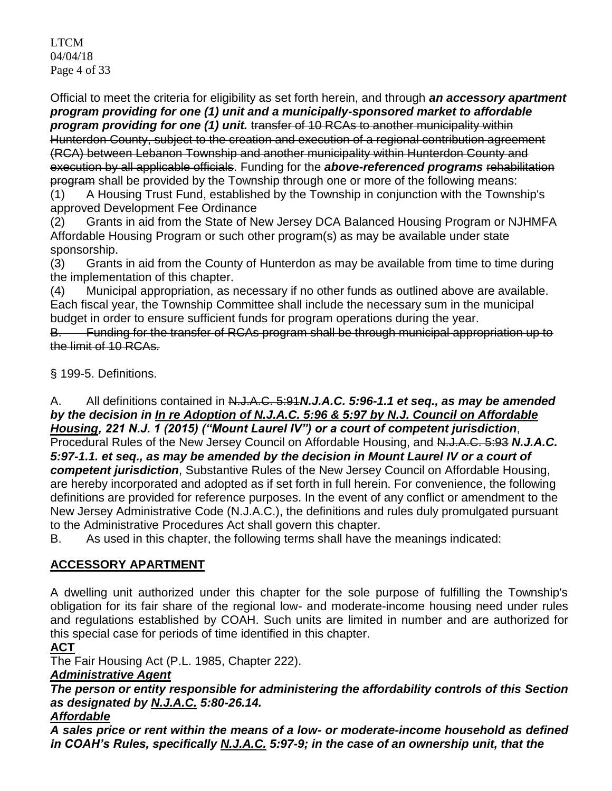LTCM 04/04/18 Page 4 of 33

Official to meet the criteria for eligibility as set forth herein, and through *an accessory apartment program providing for one (1) unit and a municipally-sponsored market to affordable*  **program providing for one (1) unit.** It ansfer of 10 RCAs to another municipality within Hunterdon County, subject to the creation and execution of a regional contribution agreement (RCA) between Lebanon Township and another municipality within Hunterdon County and execution by all applicable officials. Funding for the *above-referenced programs* rehabilitation program shall be provided by the Township through one or more of the following means: (1) A Housing Trust Fund, established by the Township in conjunction with the Township's

approved Development Fee Ordinance

(2) Grants in aid from the State of New Jersey DCA Balanced Housing Program or NJHMFA Affordable Housing Program or such other program(s) as may be available under state sponsorship.

(3) Grants in aid from the County of Hunterdon as may be available from time to time during the implementation of this chapter.

(4) Municipal appropriation, as necessary if no other funds as outlined above are available. Each fiscal year, the Township Committee shall include the necessary sum in the municipal budget in order to ensure sufficient funds for program operations during the year.

B. Funding for the transfer of RCAs program shall be through municipal appropriation up to the limit of 10 RCAs.

§ [199-5. Definitions.](https://www.ecode360.com/print/LE2241?guid=6916840&children=true#6916856)

A. All definitions contained in N.J.A.C. 5:91*N.J.A.C. 5:96-1.1 et seq., as may be amended by the decision in In re Adoption of N.J.A.C. 5:96 & 5:97 by N.J. Council on Affordable Housing, 221 N.J. 1 (2015) ("Mount Laurel IV") or a court of competent jurisdiction*, Procedural Rules of the New Jersey Council on Affordable Housing, and N.J.A.C. 5:93 *N.J.A.C. 5:97-1.1. et seq., as may be amended by the decision in Mount Laurel IV or a court of competent jurisdiction*, Substantive Rules of the New Jersey Council on Affordable Housing, are hereby incorporated and adopted as if set forth in full herein. For convenience, the following definitions are provided for reference purposes. In the event of any conflict or amendment to the New Jersey Administrative Code (N.J.A.C.), the definitions and rules duly promulgated pursuant to the Administrative Procedures Act shall govern this chapter.

B. As used in this chapter, the following terms shall have the meanings indicated:

# **[ACCESSORY APARTMENT](https://www.ecode360.com/print/6916859#6916859)**

A dwelling unit authorized under this chapter for the sole purpose of fulfilling the Township's obligation for its fair share of the regional low- and moderate-income housing need under rules and regulations established by COAH. Such units are limited in number and are authorized for this special case for periods of time identified in this chapter.

# **[ACT](https://www.ecode360.com/print/6916860#6916860)**

The Fair Housing Act (P.L. 1985, Chapter 222).

# *Administrative Agent*

*The person or entity responsible for administering the affordability controls of this Section as designated by N.J.A.C. 5:80-26.14.*

# *Affordable*

*A sales price or rent within the means of a low- or moderate-income household as defined in COAH's Rules, specifically N.J.A.C. 5:97-9; in the case of an ownership unit, that the*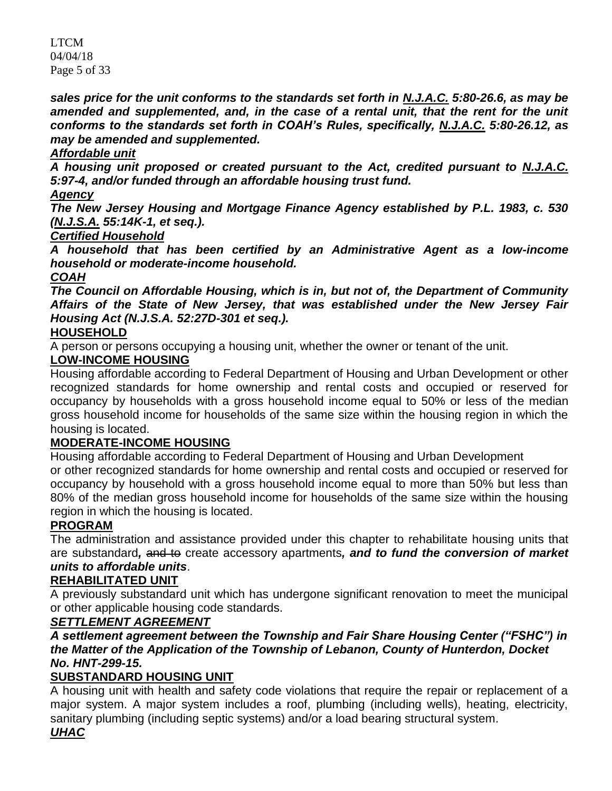LTCM 04/04/18 Page 5 of 33

*sales price for the unit conforms to the standards set forth in N.J.A.C. 5:80-26.6, as may be*  amended and supplemented, and, in the case of a rental unit, that the rent for the unit *conforms to the standards set forth in COAH's Rules, specifically, N.J.A.C. 5:80-26.12, as may be amended and supplemented.*

# *Affordable unit*

*A housing unit proposed or created pursuant to the Act, credited pursuant to N.J.A.C. 5:97-4, and/or funded through an affordable housing trust fund.*

# *Agency*

*The New Jersey Housing and Mortgage Finance Agency established by P.L. 1983, c. 530 (N.J.S.A. 55:14K-1, et seq.).* 

# *Certified Household*

*A household that has been certified by an Administrative Agent as a low-income household or moderate-income household.* 

# *COAH*

*The Council on Affordable Housing, which is in, but not of, the Department of Community Affairs of the State of New Jersey, that was established under the New Jersey Fair Housing Act (N.J.S.A. 52:27D-301 et seq.).*

# **[HOUSEHOLD](https://www.ecode360.com/print/6916861#6916861)**

A person or persons occupying a housing unit, whether the owner or tenant of the unit.

# **[LOW-INCOME HOUSING](https://www.ecode360.com/print/6916862#6916862)**

Housing affordable according to Federal Department of Housing and Urban Development or other recognized standards for home ownership and rental costs and occupied or reserved for occupancy by households with a gross household income equal to 50% or less of the median gross household income for households of the same size within the housing region in which the housing is located.

# **[MODERATE-INCOME HOUSING](https://www.ecode360.com/print/6916863#6916863)**

Housing affordable according to Federal Department of Housing and Urban Development or other recognized standards for home ownership and rental costs and occupied or reserved for occupancy by household with a gross household income equal to more than 50% but less than 80% of the median gross household income for households of the same size within the housing region in which the housing is located.

# **[PROGRAM](https://www.ecode360.com/print/6916864#6916864)**

The administration and assistance provided under this chapter to rehabilitate housing units that are substandard*,* and to create accessory apartments*, and to fund the conversion of market units to affordable units*.

# **[REHABILITATED UNIT](https://www.ecode360.com/print/6916865#6916865)**

A previously substandard unit which has undergone significant renovation to meet the municipal or other applicable housing code standards.

# *SETTLEMENT AGREEMENT*

# *A settlement agreement between the Township and Fair Share Housing Center ("FSHC") in the Matter of the Application of the Township of Lebanon, County of Hunterdon, Docket No. HNT-299-15.*

# **[SUBSTANDARD HOUSING UNIT](https://www.ecode360.com/print/6916866#6916866)**

A housing unit with health and safety code violations that require the repair or replacement of a major system. A major system includes a roof, plumbing (including wells), heating, electricity, sanitary plumbing (including septic systems) and/or a load bearing structural system.

# *UHAC*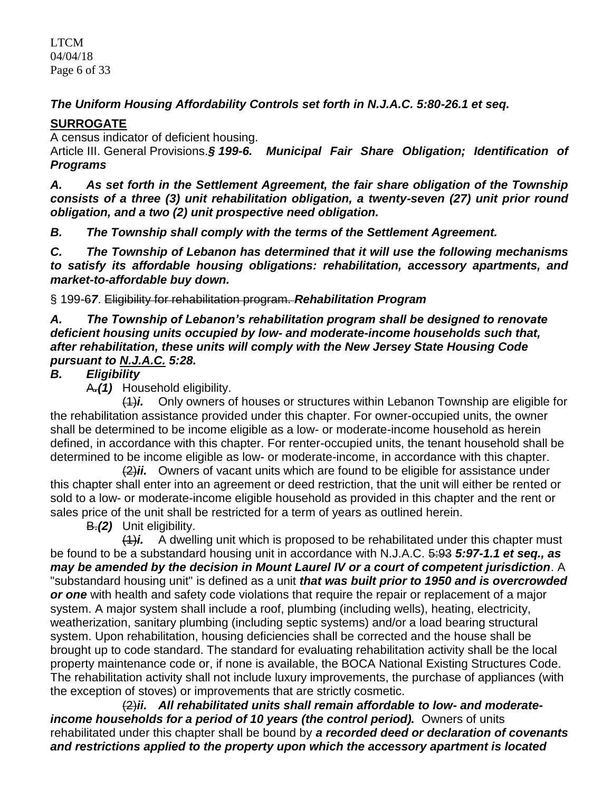LTCM 04/04/18 Page 6 of 33

*The Uniform Housing Affordability Controls set forth in N.J.A.C. 5:80-26.1 et seq.* 

# **[SURROGATE](https://www.ecode360.com/print/6916867#6916867)**

A census indicator of deficient housing.

Article III. General Provisions.*§ 199-6. Municipal Fair Share Obligation; Identification of Programs*

*A. As set forth in the Settlement Agreement, the fair share obligation of the Township consists of a three (3) unit rehabilitation obligation, a twenty-seven (27) unit prior round obligation, and a two (2) unit prospective need obligation.*

*B. The Township shall comply with the terms of the Settlement Agreement.*

*C. The Township of Lebanon has determined that it will use the following mechanisms to satisfy its affordable housing obligations: rehabilitation, accessory apartments, and market-to-affordable buy down.*

§ 199-6*7*. Eligibility for rehabilitation program. *Rehabilitation Program*

*A. The Township of Lebanon's rehabilitation program shall be designed to renovate deficient housing units occupied by low- and moderate-income households such that, after rehabilitation, these units will comply with the New Jersey State Housing Code pursuant to N.J.A.C. 5:28.* 

# *B. Eligibility*

A*.(1)* Household eligibility.

(1)*i.* Only owners of houses or structures within Lebanon Township are eligible for the rehabilitation assistance provided under this chapter. For owner-occupied units, the owner shall be determined to be income eligible as a low- or moderate-income household as herein defined, in accordance with this chapter. For renter-occupied units, the tenant household shall be determined to be income eligible as low- or moderate-income, in accordance with this chapter.

(2)*ii.* Owners of vacant units which are found to be eligible for assistance under this chapter shall enter into an agreement or deed restriction, that the unit will either be rented or sold to a low- or moderate-income eligible household as provided in this chapter and the rent or sales price of the unit shall be restricted for a term of years as outlined herein.

B.*(2)* Unit eligibility.

(1)*i.* A dwelling unit which is proposed to be rehabilitated under this chapter must be found to be a substandard housing unit in accordance with N.J.A.C. 5:93 *5:97-1.1 et seq., as may be amended by the decision in Mount Laurel IV or a court of competent jurisdiction*. A "substandard housing unit" is defined as a unit *that was built prior to 1950 and is overcrowded or one* with health and safety code violations that require the repair or replacement of a major system. A major system shall include a roof, plumbing (including wells), heating, electricity, weatherization, sanitary plumbing (including septic systems) and/or a load bearing structural system. Upon rehabilitation, housing deficiencies shall be corrected and the house shall be brought up to code standard. The standard for evaluating rehabilitation activity shall be the local property maintenance code or, if none is available, the BOCA National Existing Structures Code. The rehabilitation activity shall not include luxury improvements, the purchase of appliances (with the exception of stoves) or improvements that are strictly cosmetic.

(2)*ii. All rehabilitated units shall remain affordable to low- and moderateincome households for a period of 10 years (the control period).* Owners of units rehabilitated under this chapter shall be bound by *a recorded deed or declaration of covenants and restrictions applied to the property upon which the accessory apartment is located*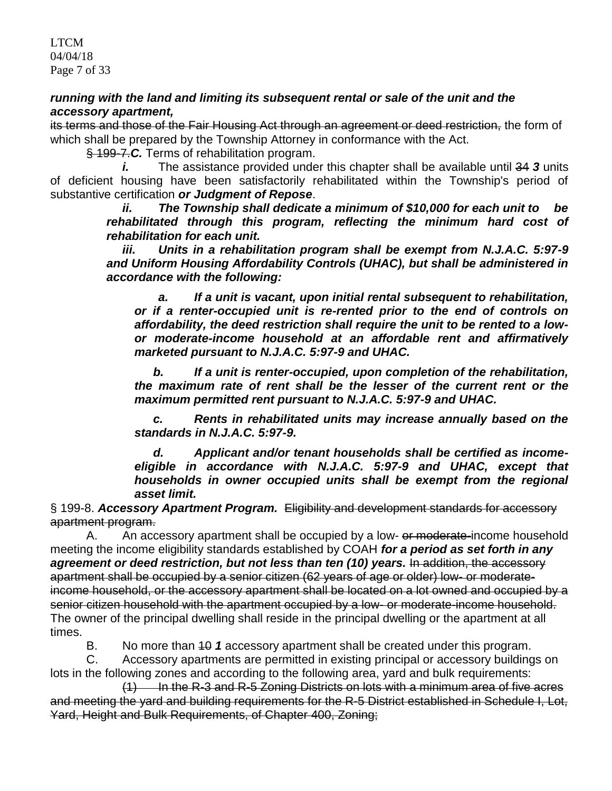### *running with the land and limiting its subsequent rental or sale of the unit and the accessory apartment,*

its terms and those of the Fair Housing Act through an agreement or deed restriction, the form of which shall be prepared by the Township Attorney in conformance with the Act.

§ 199-7.*C.* Terms of rehabilitation program.

*i.* The assistance provided under this chapter shall be available until 34 *3* units of deficient housing have been satisfactorily rehabilitated within the Township's period of substantive certification *or Judgment of Repose*.

*ii. The Township shall dedicate a minimum of \$10,000 for each unit to be rehabilitated through this program, reflecting the minimum hard cost of rehabilitation for each unit.*

*iii. Units in a rehabilitation program shall be exempt from N.J.A.C. 5:97-9 and Uniform Housing Affordability Controls (UHAC), but shall be administered in accordance with the following:*

*a. If a unit is vacant, upon initial rental subsequent to rehabilitation, or if a renter-occupied unit is re-rented prior to the end of controls on affordability, the deed restriction shall require the unit to be rented to a lowor moderate-income household at an affordable rent and affirmatively marketed pursuant to N.J.A.C. 5:97-9 and UHAC.*

*b. If a unit is renter-occupied, upon completion of the rehabilitation, the maximum rate of rent shall be the lesser of the current rent or the maximum permitted rent pursuant to N.J.A.C. 5:97-9 and UHAC.*

*c. Rents in rehabilitated units may increase annually based on the standards in N.J.A.C. 5:97-9.*

*d. Applicant and/or tenant households shall be certified as incomeeligible in accordance with N.J.A.C. 5:97-9 and UHAC, except that households in owner occupied units shall be exempt from the regional asset limit.*

§ 199-8. *Accessory Apartment Program.* Eligibility and development standards for accessory apartment program.

A. An accessory apartment shall be occupied by a low- or moderate-income household meeting the income eligibility standards established by COAH *for a period as set forth in any*  agreement or deed restriction, but not less than ten (10) years. In addition, the accessory apartment shall be occupied by a senior citizen (62 years of age or older) low- or moderateincome household, or the accessory apartment shall be located on a lot owned and occupied by a senior citizen household with the apartment occupied by a low- or moderate-income household. The owner of the principal dwelling shall reside in the principal dwelling or the apartment at all times.

B. No more than 10 *1* accessory apartment shall be created under this program.

C. Accessory apartments are permitted in existing principal or accessory buildings on lots in the following zones and according to the following area, yard and bulk requirements:

 $(1)$  In the R-3 and R-5 Zoning Districts on lots with a minimum area of five acres and meeting the yard and building requirements for the R-5 District established in Schedule I, Lot, Yard, Height and Bulk Requirements, of Chapter 400, Zoning;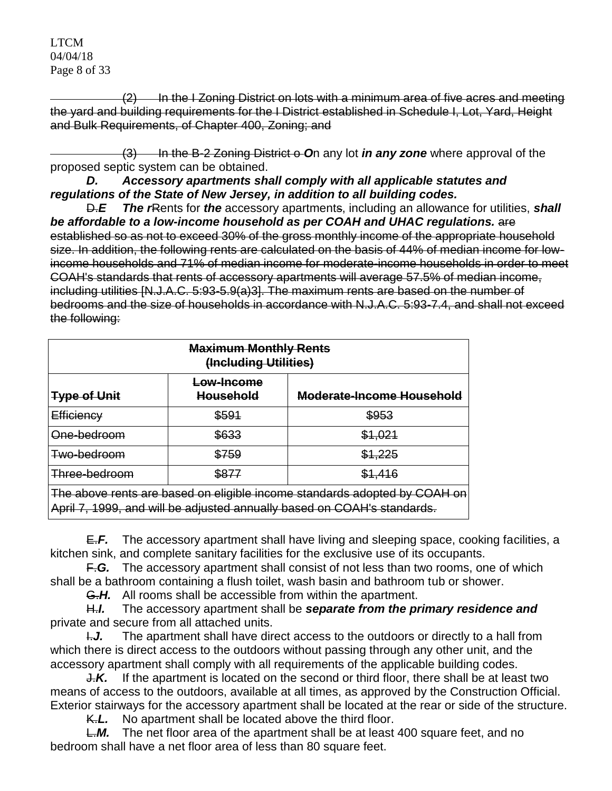LTCM 04/04/18 Page 8 of 33

(2) In the I Zoning District on lots with a minimum area of five acres and meeting the yard and building requirements for the I District established in Schedule I, Lot, Yard, Height and Bulk Requirements, of Chapter 400, Zoning; and

(3) In the B-2 Zoning District o On any lot *in any zone* where approval of the proposed septic system can be obtained.

*D. Accessory apartments shall comply with all applicable statutes and regulations of the State of New Jersey, in addition to all building codes.*

D.*E The r*Rents for *the* accessory apartments, including an allowance for utilities, *shall be affordable to a low-income household as per COAH and UHAC regulations.* are established so as not to exceed 30% of the gross monthly income of the appropriate household size. In addition, the following rents are calculated on the basis of 44% of median income for lowincome households and 71% of median income for moderate-income households in order to meet COAH's standards that rents of accessory apartments will average 57.5% of median income, including utilities [N.J.A.C. 5:93-5.9(a)3]. The maximum rents are based on the number of bedrooms and the size of households in accordance with N.J.A.C. 5:93-7.4, and shall not exceed the following:

| <b>Maximum Monthly Rents</b><br>(Including Utilities)                                                                                                                                                                                                                                                         |                                |                           |  |  |
|---------------------------------------------------------------------------------------------------------------------------------------------------------------------------------------------------------------------------------------------------------------------------------------------------------------|--------------------------------|---------------------------|--|--|
| <b>Type of Unit</b>                                                                                                                                                                                                                                                                                           | Low-Income<br><b>Household</b> | Moderate-Income Household |  |  |
| Efficiency                                                                                                                                                                                                                                                                                                    | \$591                          | \$953                     |  |  |
| One-bedroom                                                                                                                                                                                                                                                                                                   | \$633                          | \$1,021                   |  |  |
| Two-bedroom                                                                                                                                                                                                                                                                                                   | \$759                          | \$1,225                   |  |  |
| Three-bedroom                                                                                                                                                                                                                                                                                                 | \$877                          | \$1.416                   |  |  |
| The above rents are based on eligible income standards adopted by COAH on<br>$\mathbf{A}$ and the state of the state of the state of the state of the state of the state of the state of the state of the state of the state of the state of the state of the state of the state of the state of the state of |                                |                           |  |  |

April 7, 1999, and will be adjusted annually based on COAH's standards.

E.*F.* The accessory apartment shall have living and sleeping space, cooking facilities, a kitchen sink, and complete sanitary facilities for the exclusive use of its occupants.

F.*G.* The accessory apartment shall consist of not less than two rooms, one of which shall be a bathroom containing a flush toilet, wash basin and bathroom tub or shower.

G.*H.* All rooms shall be accessible from within the apartment.

H.*I.* The accessory apartment shall be *separate from the primary residence and*  private and secure from all attached units.

**I.J.** The apartment shall have direct access to the outdoors or directly to a hall from which there is direct access to the outdoors without passing through any other unit, and the accessory apartment shall comply with all requirements of the applicable building codes.

J.*K.* If the apartment is located on the second or third floor, there shall be at least two means of access to the outdoors, available at all times, as approved by the Construction Official. Exterior stairways for the accessory apartment shall be located at the rear or side of the structure.

K.*L.* No apartment shall be located above the third floor.

L.M. The net floor area of the apartment shall be at least 400 square feet, and no bedroom shall have a net floor area of less than 80 square feet.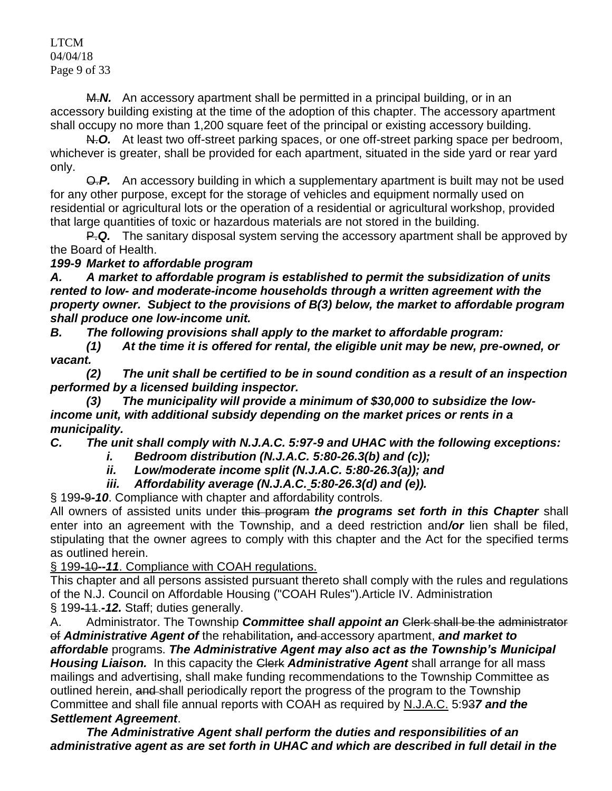### LTCM 04/04/18 Page 9 of 33

M.*N.* An accessory apartment shall be permitted in a principal building, or in an accessory building existing at the time of the adoption of this chapter. The accessory apartment shall occupy no more than 1,200 square feet of the principal or existing accessory building.

N.*O.* At least two off-street parking spaces, or one off-street parking space per bedroom, whichever is greater, shall be provided for each apartment, situated in the side yard or rear yard only.

O.*P.* An accessory building in which a supplementary apartment is built may not be used for any other purpose, except for the storage of vehicles and equipment normally used on residential or agricultural lots or the operation of a residential or agricultural workshop, provided that large quantities of toxic or hazardous materials are not stored in the building.

P.*Q.* The sanitary disposal system serving the accessory apartment shall be approved by the Board of Health.

# *199-9 Market to affordable program*

*A. A market to affordable program is established to permit the subsidization of units rented to low- and moderate-income households through a written agreement with the property owner. Subject to the provisions of B(3) below, the market to affordable program shall produce one low-income unit.*

*B. The following provisions shall apply to the market to affordable program:*

*(1) At the time it is offered for rental, the eligible unit may be new, pre-owned, or vacant.*

*(2) The unit shall be certified to be in sound condition as a result of an inspection performed by a licensed building inspector.*

*(3) The municipality will provide a minimum of \$30,000 to subsidize the lowincome unit, with additional subsidy depending on the market prices or rents in a municipality.*

*C. The unit shall comply with N.J.A.C. 5:97-9 and UHAC with the following exceptions:* 

*i. Bedroom distribution (N.J.A.C. 5:80-26.3(b) and (c));* 

*ii. Low/moderate income split (N.J.A.C. 5:80-26.3(a)); and*

*iii. Affordability average (N.J.A.C. 5:80-26.3(d) and (e)).*

§ 199-9*-10*. Compliance with chapter and affordability controls.

All owners of assisted units under this program *the programs set forth in this Chapter* shall enter into an agreement with the Township, and a deed restriction and*/or* lien shall be filed, stipulating that the owner agrees to comply with this chapter and the Act for the specified terms as outlined herein.

§ 199-10*--11*. Compliance with COAH regulations.

This chapter and all persons assisted pursuant thereto shall comply with the rules and regulations of the N.J. Council on Affordable Housing ("COAH Rules").Article IV. Administration § 199-11.*-12.* Staff; duties generally.

A. Administrator. The Township *Committee shall appoint an* Clerk shall be the administrator of *Administrative Agent of* the rehabilitation*,* and accessory apartment, *and market to affordable* programs. *The Administrative Agent may also act as the Township's Municipal*  **Housing Liaison.** In this capacity the Clerk **Administrative Agent** shall arrange for all mass mailings and advertising, shall make funding recommendations to the Township Committee as outlined herein, and shall periodically report the progress of the program to the Township Committee and shall file annual reports with COAH as required by N.J.A.C. 5:93*7 and the Settlement Agreement*.

*The Administrative Agent shall perform the duties and responsibilities of an administrative agent as are set forth in UHAC and which are described in full detail in the*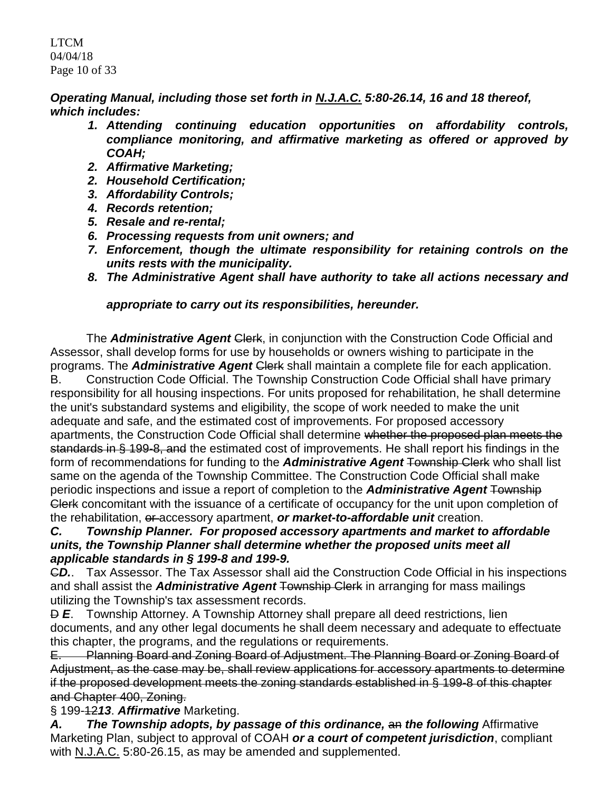LTCM 04/04/18 Page 10 of 33

*Operating Manual, including those set forth in N.J.A.C. 5:80-26.14, 16 and 18 thereof, which includes:* 

- *1. Attending continuing education opportunities on affordability controls, compliance monitoring, and affirmative marketing as offered or approved by COAH;*
- *2. Affirmative Marketing;*
- *2. Household Certification;*
- *3. Affordability Controls;*
- *4. Records retention;*
- *5. Resale and re-rental;*
- *6. Processing requests from unit owners; and*
- *7. Enforcement, though the ultimate responsibility for retaining controls on the units rests with the municipality.*
- *8. The Administrative Agent shall have authority to take all actions necessary and*

# *appropriate to carry out its responsibilities, hereunder.*

The *Administrative Agent* Clerk, in conjunction with the Construction Code Official and Assessor, shall develop forms for use by households or owners wishing to participate in the programs. The *Administrative Agent* Clerk shall maintain a complete file for each application. B. Construction Code Official. The Township Construction Code Official shall have primary responsibility for all housing inspections. For units proposed for rehabilitation, he shall determine the unit's substandard systems and eligibility, the scope of work needed to make the unit adequate and safe, and the estimated cost of improvements. For proposed accessory apartments, the Construction Code Official shall determine whether the proposed plan meets the standards in § 199-8, and the estimated cost of improvements. He shall report his findings in the form of recommendations for funding to the *Administrative Agent* Township Clerk who shall list same on the agenda of the Township Committee. The Construction Code Official shall make periodic inspections and issue a report of completion to the *Administrative Agent* Township Clerk concomitant with the issuance of a certificate of occupancy for the unit upon completion of the rehabilitation, or accessory apartment, *or market-to-affordable unit* creation.

# *C. Township Planner. For proposed accessory apartments and market to affordable units, the Township Planner shall determine whether the proposed units meet all applicable standards in § 199-8 and 199-9.*

C*D.*. Tax Assessor. The Tax Assessor shall aid the Construction Code Official in his inspections and shall assist the *Administrative Agent* Township Clerk in arranging for mass mailings utilizing the Township's tax assessment records.

 $\overline{P}$  **E**. Township Attorney. A Township Attorney shall prepare all deed restrictions, lien documents, and any other legal documents he shall deem necessary and adequate to effectuate this chapter, the programs, and the regulations or requirements.

E. Planning Board and Zoning Board of Adjustment. The Planning Board or Zoning Board of Adjustment, as the case may be, shall review applications for accessory apartments to determine if the proposed development meets the zoning standards established in § 199-8 of this chapter and Chapter 400, Zoning.

§ 199-12*13*. *Affirmative* Marketing.

*A. The Township adopts, by passage of this ordinance,* an *the following* Affirmative Marketing Plan, subject to approval of COAH *or a court of competent jurisdiction*, compliant with N.J.A.C. 5:80-26.15, as may be amended and supplemented.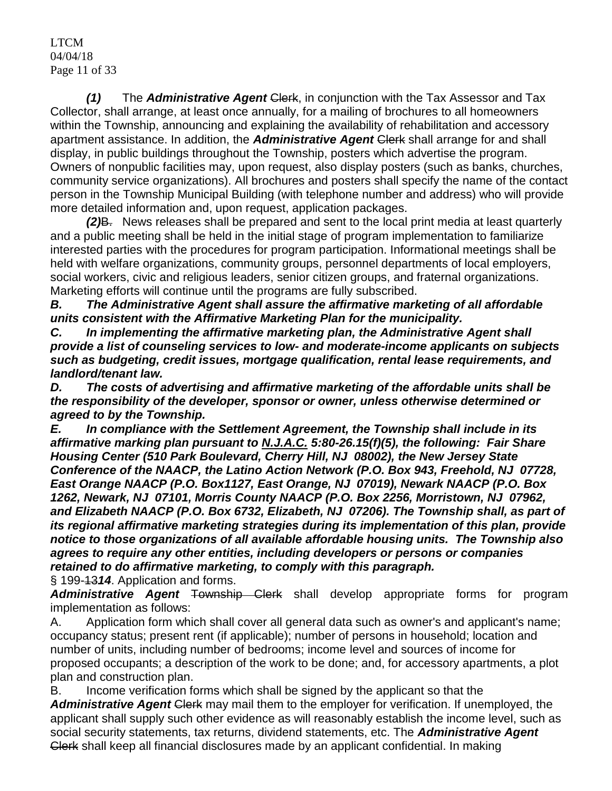LTCM 04/04/18 Page 11 of 33

*(1)* The *Administrative Agent Clerk*, in conjunction with the Tax Assessor and Tax Collector, shall arrange, at least once annually, for a mailing of brochures to all homeowners within the Township, announcing and explaining the availability of rehabilitation and accessory apartment assistance. In addition, the *Administrative Agent* Clerk shall arrange for and shall display, in public buildings throughout the Township, posters which advertise the program. Owners of nonpublic facilities may, upon request, also display posters (such as banks, churches, community service organizations). All brochures and posters shall specify the name of the contact person in the Township Municipal Building (with telephone number and address) who will provide more detailed information and, upon request, application packages.

*(2)*B. News releases shall be prepared and sent to the local print media at least quarterly and a public meeting shall be held in the initial stage of program implementation to familiarize interested parties with the procedures for program participation. Informational meetings shall be held with welfare organizations, community groups, personnel departments of local employers, social workers, civic and religious leaders, senior citizen groups, and fraternal organizations. Marketing efforts will continue until the programs are fully subscribed.

*B. The Administrative Agent shall assure the affirmative marketing of all affordable units consistent with the Affirmative Marketing Plan for the municipality.*

*C. In implementing the affirmative marketing plan, the Administrative Agent shall provide a list of counseling services to low- and moderate-income applicants on subjects such as budgeting, credit issues, mortgage qualification, rental lease requirements, and landlord/tenant law.* 

*D. The costs of advertising and affirmative marketing of the affordable units shall be the responsibility of the developer, sponsor or owner, unless otherwise determined or agreed to by the Township.*

*E. In compliance with the Settlement Agreement, the Township shall include in its affirmative marking plan pursuant to N.J.A.C. 5:80-26.15(f)(5), the following: Fair Share Housing Center (510 Park Boulevard, Cherry Hill, NJ 08002), the New Jersey State Conference of the NAACP, the Latino Action Network (P.O. Box 943, Freehold, NJ 07728, East Orange NAACP (P.O. Box1127, East Orange, NJ 07019), Newark NAACP (P.O. Box 1262, Newark, NJ 07101, Morris County NAACP (P.O. Box 2256, Morristown, NJ 07962, and Elizabeth NAACP (P.O. Box 6732, Elizabeth, NJ 07206). The Township shall, as part of its regional affirmative marketing strategies during its implementation of this plan, provide notice to those organizations of all available affordable housing units. The Township also agrees to require any other entities, including developers or persons or companies retained to do affirmative marketing, to comply with this paragraph.*

§ 199-13*14*. Application and forms.

*Administrative Agent* Township Clerk shall develop appropriate forms for program implementation as follows:

A. Application form which shall cover all general data such as owner's and applicant's name; occupancy status; present rent (if applicable); number of persons in household; location and number of units, including number of bedrooms; income level and sources of income for proposed occupants; a description of the work to be done; and, for accessory apartments, a plot plan and construction plan.

B. Income verification forms which shall be signed by the applicant so that the *Administrative Agent* Clerk may mail them to the employer for verification. If unemployed, the applicant shall supply such other evidence as will reasonably establish the income level, such as social security statements, tax returns, dividend statements, etc. The *Administrative Agent*  Clerk shall keep all financial disclosures made by an applicant confidential. In making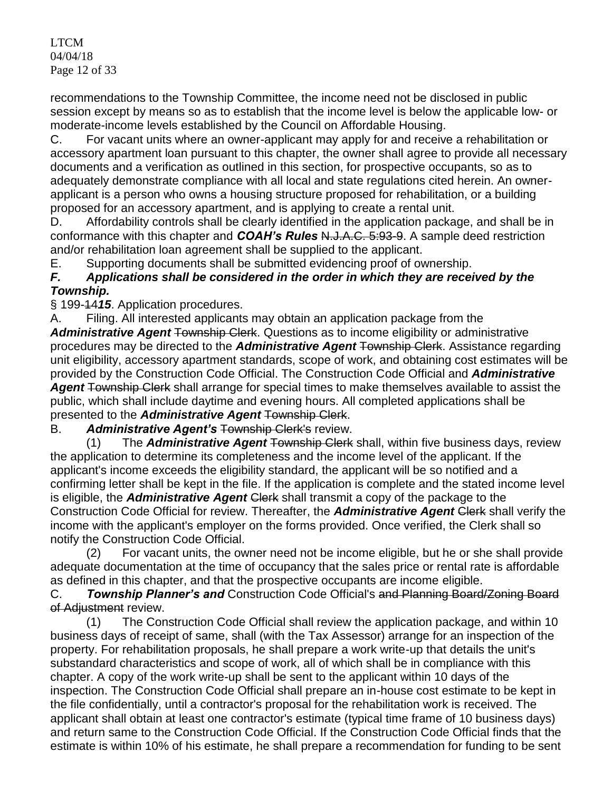LTCM 04/04/18 Page 12 of 33

recommendations to the Township Committee, the income need not be disclosed in public session except by means so as to establish that the income level is below the applicable low- or moderate-income levels established by the Council on Affordable Housing.

C. For vacant units where an owner-applicant may apply for and receive a rehabilitation or accessory apartment loan pursuant to this chapter, the owner shall agree to provide all necessary documents and a verification as outlined in this section, for prospective occupants, so as to adequately demonstrate compliance with all local and state regulations cited herein. An ownerapplicant is a person who owns a housing structure proposed for rehabilitation, or a building proposed for an accessory apartment, and is applying to create a rental unit.

D. Affordability controls shall be clearly identified in the application package, and shall be in conformance with this chapter and *COAH's Rules* N.J.A.C. 5:93-9. A sample deed restriction and/or rehabilitation loan agreement shall be supplied to the applicant.

E. Supporting documents shall be submitted evidencing proof of ownership.

# *F. Applications shall be considered in the order in which they are received by the Township.*

§ 199-14*15*. Application procedures.

A. Filing. All interested applicants may obtain an application package from the

Administrative Agent Township Clerk. Questions as to income eligibility or administrative procedures may be directed to the *Administrative Agent* Township Clerk. Assistance regarding unit eligibility, accessory apartment standards, scope of work, and obtaining cost estimates will be provided by the Construction Code Official. The Construction Code Official and *Administrative*  Agent Township Clerk shall arrange for special times to make themselves available to assist the public, which shall include daytime and evening hours. All completed applications shall be presented to the *Administrative Agent* Township Clerk.

# B. *Administrative Agent's* Township Clerk's review.

(1) The *Administrative Agent* Township Clerk shall, within five business days, review the application to determine its completeness and the income level of the applicant. If the applicant's income exceeds the eligibility standard, the applicant will be so notified and a confirming letter shall be kept in the file. If the application is complete and the stated income level is eligible, the *Administrative Agent* Clerk shall transmit a copy of the package to the Construction Code Official for review. Thereafter, the **Administrative Agent Clerk** shall verify the income with the applicant's employer on the forms provided. Once verified, the Clerk shall so notify the Construction Code Official.

(2) For vacant units, the owner need not be income eligible, but he or she shall provide adequate documentation at the time of occupancy that the sales price or rental rate is affordable as defined in this chapter, and that the prospective occupants are income eligible.

C. *Township Planner's and* Construction Code Official's and Planning Board/Zoning Board of Adjustment review.

(1) The Construction Code Official shall review the application package, and within 10 business days of receipt of same, shall (with the Tax Assessor) arrange for an inspection of the property. For rehabilitation proposals, he shall prepare a work write-up that details the unit's substandard characteristics and scope of work, all of which shall be in compliance with this chapter. A copy of the work write-up shall be sent to the applicant within 10 days of the inspection. The Construction Code Official shall prepare an in-house cost estimate to be kept in the file confidentially, until a contractor's proposal for the rehabilitation work is received. The applicant shall obtain at least one contractor's estimate (typical time frame of 10 business days) and return same to the Construction Code Official. If the Construction Code Official finds that the estimate is within 10% of his estimate, he shall prepare a recommendation for funding to be sent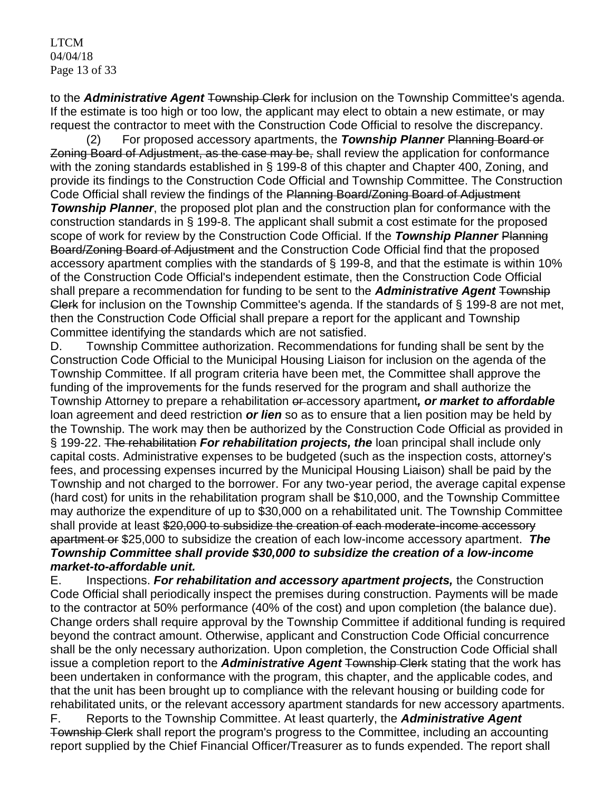LTCM 04/04/18 Page 13 of 33

to the *Administrative Agent* Township Clerk for inclusion on the Township Committee's agenda. If the estimate is too high or too low, the applicant may elect to obtain a new estimate, or may request the contractor to meet with the Construction Code Official to resolve the discrepancy.

(2) For proposed accessory apartments, the *Township Planner* Planning Board or Zoning Board of Adjustment, as the case may be, shall review the application for conformance with the zoning standards established in § 199-8 of this chapter and Chapter 400, Zoning, and provide its findings to the Construction Code Official and Township Committee. The Construction Code Official shall review the findings of the Planning Board/Zoning Board of Adjustment **Township Planner**, the proposed plot plan and the construction plan for conformance with the construction standards in § 199-8. The applicant shall submit a cost estimate for the proposed scope of work for review by the Construction Code Official. If the *Township Planner* Planning Board/Zoning Board of Adjustment and the Construction Code Official find that the proposed accessory apartment complies with the standards of § 199-8, and that the estimate is within 10% of the Construction Code Official's independent estimate, then the Construction Code Official shall prepare a recommendation for funding to be sent to the *Administrative Agent* Township Clerk for inclusion on the Township Committee's agenda. If the standards of § 199-8 are not met, then the Construction Code Official shall prepare a report for the applicant and Township Committee identifying the standards which are not satisfied.

D. Township Committee authorization. Recommendations for funding shall be sent by the Construction Code Official to the Municipal Housing Liaison for inclusion on the agenda of the Township Committee. If all program criteria have been met, the Committee shall approve the funding of the improvements for the funds reserved for the program and shall authorize the Township Attorney to prepare a rehabilitation or accessory apartment, or market to affordable loan agreement and deed restriction *or lien* so as to ensure that a lien position may be held by the Township. The work may then be authorized by the Construction Code Official as provided in § 199-22. The rehabilitation *For rehabilitation projects, the* loan principal shall include only capital costs. Administrative expenses to be budgeted (such as the inspection costs, attorney's fees, and processing expenses incurred by the Municipal Housing Liaison) shall be paid by the Township and not charged to the borrower. For any two-year period, the average capital expense (hard cost) for units in the rehabilitation program shall be \$10,000, and the Township Committee may authorize the expenditure of up to \$30,000 on a rehabilitated unit. The Township Committee shall provide at least \$20,000 to subsidize the creation of each moderate-income accessory apartment or \$25,000 to subsidize the creation of each low-income accessory apartment. *The Township Committee shall provide \$30,000 to subsidize the creation of a low-income market-to-affordable unit.*

E. Inspections. *For rehabilitation and accessory apartment projects,* the Construction Code Official shall periodically inspect the premises during construction. Payments will be made to the contractor at 50% performance (40% of the cost) and upon completion (the balance due). Change orders shall require approval by the Township Committee if additional funding is required beyond the contract amount. Otherwise, applicant and Construction Code Official concurrence shall be the only necessary authorization. Upon completion, the Construction Code Official shall issue a completion report to the *Administrative Agent* Township Clerk stating that the work has been undertaken in conformance with the program, this chapter, and the applicable codes, and that the unit has been brought up to compliance with the relevant housing or building code for rehabilitated units, or the relevant accessory apartment standards for new accessory apartments.

F. Reports to the Township Committee. At least quarterly, the *Administrative Agent*  Township Clerk shall report the program's progress to the Committee, including an accounting report supplied by the Chief Financial Officer/Treasurer as to funds expended. The report shall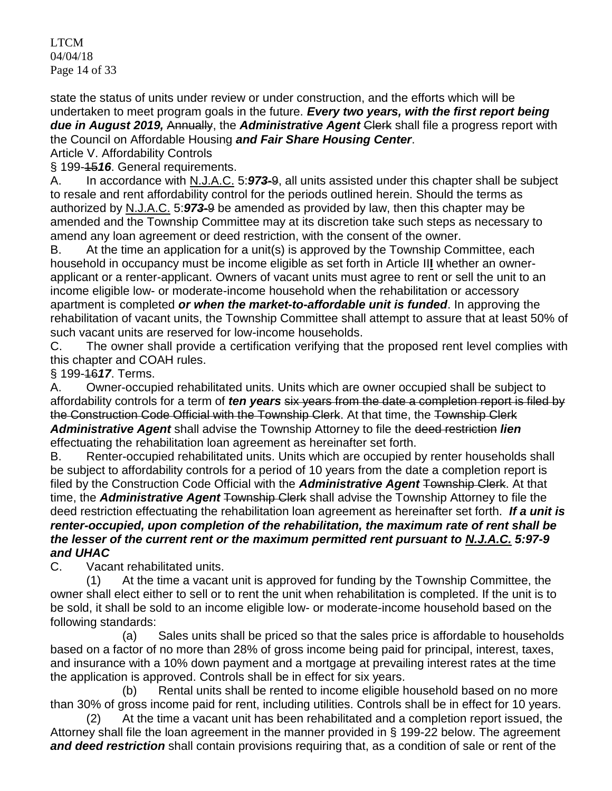LTCM 04/04/18 Page 14 of 33

state the status of units under review or under construction, and the efforts which will be undertaken to meet program goals in the future. *Every two years, with the first report being due in August 2019,* Annually, the *Administrative Agent* Clerk shall file a progress report with the Council on Affordable Housing *and Fair Share Housing Center*.

Article V. Affordability Controls

§ 199-15*16*. General requirements.

A. In accordance with N.J.A.C. 5:*973*-9, all units assisted under this chapter shall be subject to resale and rent affordability control for the periods outlined herein. Should the terms as authorized by N.J.A.C. 5:*973*-9 be amended as provided by law, then this chapter may be amended and the Township Committee may at its discretion take such steps as necessary to amend any loan agreement or deed restriction, with the consent of the owner.

B. At the time an application for a unit(s) is approved by the Township Committee, each household in occupancy must be income eligible as set forth in Article II**I** whether an ownerapplicant or a renter-applicant. Owners of vacant units must agree to rent or sell the unit to an income eligible low- or moderate-income household when the rehabilitation or accessory apartment is completed *or when the market-to-affordable unit is funded*. In approving the rehabilitation of vacant units, the Township Committee shall attempt to assure that at least 50% of such vacant units are reserved for low-income households.

C. The owner shall provide a certification verifying that the proposed rent level complies with this chapter and COAH rules.

# § 199-16*17*. Terms.

A. Owner-occupied rehabilitated units. Units which are owner occupied shall be subject to affordability controls for a term of *ten years* six years from the date a completion report is filed by the Construction Code Official with the Township Clerk. At that time, the Township Clerk *Administrative Agent* shall advise the Township Attorney to file the deed restriction *lien*  effectuating the rehabilitation loan agreement as hereinafter set forth.

B. Renter-occupied rehabilitated units. Units which are occupied by renter households shall be subject to affordability controls for a period of 10 years from the date a completion report is filed by the Construction Code Official with the *Administrative Agent* Township Clerk. At that time, the *Administrative Agent* Township Clerk shall advise the Township Attorney to file the deed restriction effectuating the rehabilitation loan agreement as hereinafter set forth. *If a unit is renter-occupied, upon completion of the rehabilitation, the maximum rate of rent shall be the lesser of the current rent or the maximum permitted rent pursuant to N.J.A.C. 5:97-9 and UHAC*

C. Vacant rehabilitated units.

(1) At the time a vacant unit is approved for funding by the Township Committee, the owner shall elect either to sell or to rent the unit when rehabilitation is completed. If the unit is to be sold, it shall be sold to an income eligible low- or moderate-income household based on the following standards:

(a) Sales units shall be priced so that the sales price is affordable to households based on a factor of no more than 28% of gross income being paid for principal, interest, taxes, and insurance with a 10% down payment and a mortgage at prevailing interest rates at the time the application is approved. Controls shall be in effect for six years.

(b) Rental units shall be rented to income eligible household based on no more than 30% of gross income paid for rent, including utilities. Controls shall be in effect for 10 years.

(2) At the time a vacant unit has been rehabilitated and a completion report issued, the Attorney shall file the loan agreement in the manner provided in § 199-22 below. The agreement *and deed restriction* shall contain provisions requiring that, as a condition of sale or rent of the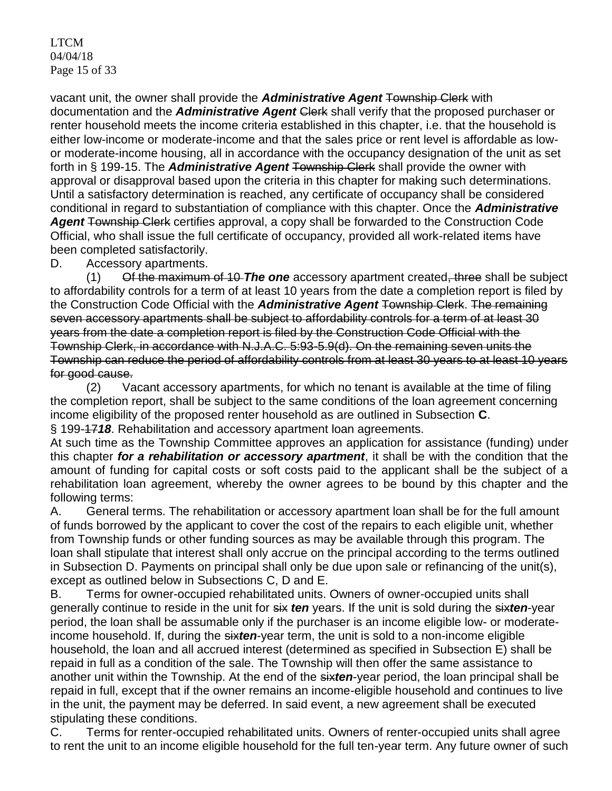LTCM 04/04/18 Page 15 of 33

vacant unit, the owner shall provide the *Administrative Agent* Township Clerk with documentation and the *Administrative Agent* Clerk shall verify that the proposed purchaser or renter household meets the income criteria established in this chapter, i.e. that the household is either low-income or moderate-income and that the sales price or rent level is affordable as lowor moderate-income housing, all in accordance with the occupancy designation of the unit as set forth in § 199-15. The *Administrative Agent* Township Clerk shall provide the owner with approval or disapproval based upon the criteria in this chapter for making such determinations. Until a satisfactory determination is reached, any certificate of occupancy shall be considered conditional in regard to substantiation of compliance with this chapter. Once the *Administrative*  Agent Township Clerk certifies approval, a copy shall be forwarded to the Construction Code Official, who shall issue the full certificate of occupancy, provided all work-related items have been completed satisfactorily.

D. Accessory apartments.

(1) Of the maximum of 10 *The one* accessory apartment created, three shall be subject to affordability controls for a term of at least 10 years from the date a completion report is filed by the Construction Code Official with the *Administrative Agent* Township Clerk. The remaining seven accessory apartments shall be subject to affordability controls for a term of at least 30 years from the date a completion report is filed by the Construction Code Official with the Township Clerk, in accordance with N.J.A.C. 5:93-5.9(d). On the remaining seven units the Township can reduce the period of affordability controls from at least 30 years to at least 10 years for good cause.

(2) Vacant accessory apartments, for which no tenant is available at the time of filing the completion report, shall be subject to the same conditions of the loan agreement concerning income eligibility of the proposed renter household as are outlined in Subsection **C**. § 199-17*18*. Rehabilitation and accessory apartment loan agreements.

At such time as the Township Committee approves an application for assistance (funding) under this chapter *for a rehabilitation or accessory apartment*, it shall be with the condition that the amount of funding for capital costs or soft costs paid to the applicant shall be the subject of a rehabilitation loan agreement, whereby the owner agrees to be bound by this chapter and the following terms:

A. General terms. The rehabilitation or accessory apartment loan shall be for the full amount of funds borrowed by the applicant to cover the cost of the repairs to each eligible unit, whether from Township funds or other funding sources as may be available through this program. The loan shall stipulate that interest shall only accrue on the principal according to the terms outlined in Subsection D. Payments on principal shall only be due upon sale or refinancing of the unit(s), except as outlined below in Subsections C, D and E.

B. Terms for owner-occupied rehabilitated units. Owners of owner-occupied units shall generally continue to reside in the unit for six *ten* years. If the unit is sold during the six*ten*-year period, the loan shall be assumable only if the purchaser is an income eligible low- or moderateincome household. If, during the six*ten*-year term, the unit is sold to a non-income eligible household, the loan and all accrued interest (determined as specified in Subsection E) shall be repaid in full as a condition of the sale. The Township will then offer the same assistance to another unit within the Township. At the end of the six*ten*-year period, the loan principal shall be repaid in full, except that if the owner remains an income-eligible household and continues to live in the unit, the payment may be deferred. In said event, a new agreement shall be executed stipulating these conditions.

C. Terms for renter-occupied rehabilitated units. Owners of renter-occupied units shall agree to rent the unit to an income eligible household for the full ten-year term. Any future owner of such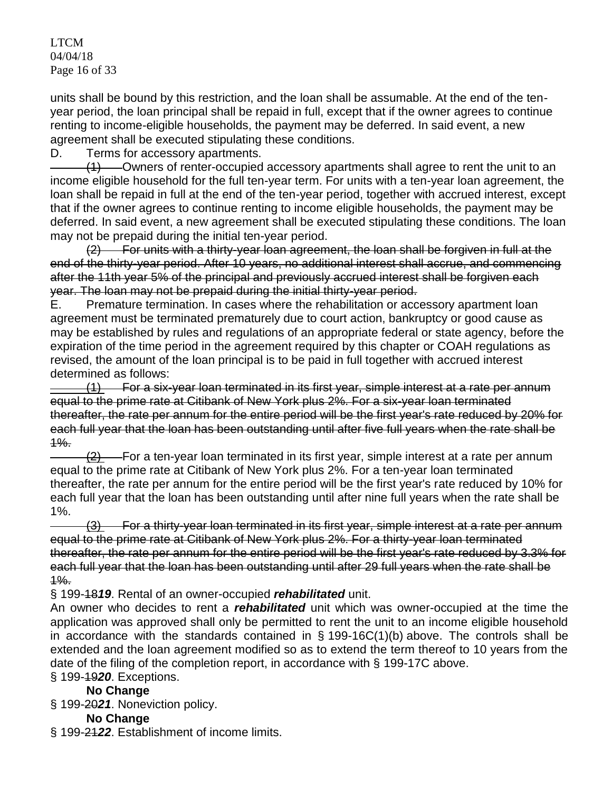LTCM 04/04/18 Page 16 of 33

units shall be bound by this restriction, and the loan shall be assumable. At the end of the tenyear period, the loan principal shall be repaid in full, except that if the owner agrees to continue renting to income-eligible households, the payment may be deferred. In said event, a new agreement shall be executed stipulating these conditions.

D. Terms for accessory apartments.

(1) Owners of renter-occupied accessory apartments shall agree to rent the unit to an income eligible household for the full ten-year term. For units with a ten-year loan agreement, the loan shall be repaid in full at the end of the ten-year period, together with accrued interest, except that if the owner agrees to continue renting to income eligible households, the payment may be deferred. In said event, a new agreement shall be executed stipulating these conditions. The loan may not be prepaid during the initial ten-year period.

(2) For units with a thirty-year loan agreement, the loan shall be forgiven in full at the end of the thirty-year period. After 10 years, no additional interest shall accrue, and commencing after the 11th year 5% of the principal and previously accrued interest shall be forgiven each year. The loan may not be prepaid during the initial thirty-year period.

E. Premature termination. In cases where the rehabilitation or accessory apartment loan agreement must be terminated prematurely due to court action, bankruptcy or good cause as may be established by rules and regulations of an appropriate federal or state agency, before the expiration of the time period in the agreement required by this chapter or COAH regulations as revised, the amount of the loan principal is to be paid in full together with accrued interest determined as follows:

(1) For a six-year loan terminated in its first year, simple interest at a rate per annum equal to the prime rate at Citibank of New York plus 2%. For a six-year loan terminated thereafter, the rate per annum for the entire period will be the first year's rate reduced by 20% for each full year that the loan has been outstanding until after five full years when the rate shall be  $1\%$ .

 $\frac{1}{2}$  For a ten-year loan terminated in its first year, simple interest at a rate per annum equal to the prime rate at Citibank of New York plus 2%. For a ten-year loan terminated thereafter, the rate per annum for the entire period will be the first year's rate reduced by 10% for each full year that the loan has been outstanding until after nine full years when the rate shall be 1%.

(3) For a thirty-year loan terminated in its first year, simple interest at a rate per annum equal to the prime rate at Citibank of New York plus 2%. For a thirty-year loan terminated thereafter, the rate per annum for the entire period will be the first year's rate reduced by 3.3% for each full year that the loan has been outstanding until after 29 full years when the rate shall be  $1%$ .

§ 199-18*19*. Rental of an owner-occupied *rehabilitated* unit.

An owner who decides to rent a *rehabilitated* unit which was owner-occupied at the time the application was approved shall only be permitted to rent the unit to an income eligible household in accordance with the standards contained in  $\S$  199-16C(1)(b) above. The controls shall be extended and the loan agreement modified so as to extend the term thereof to 10 years from the date of the filing of the completion report, in accordance with § 199-17C above.

### § 199-19*20*. Exceptions. **No Change**

§ 199-20*21*. Noneviction policy.

# **No Change**

§ 199-21*22*. Establishment of income limits.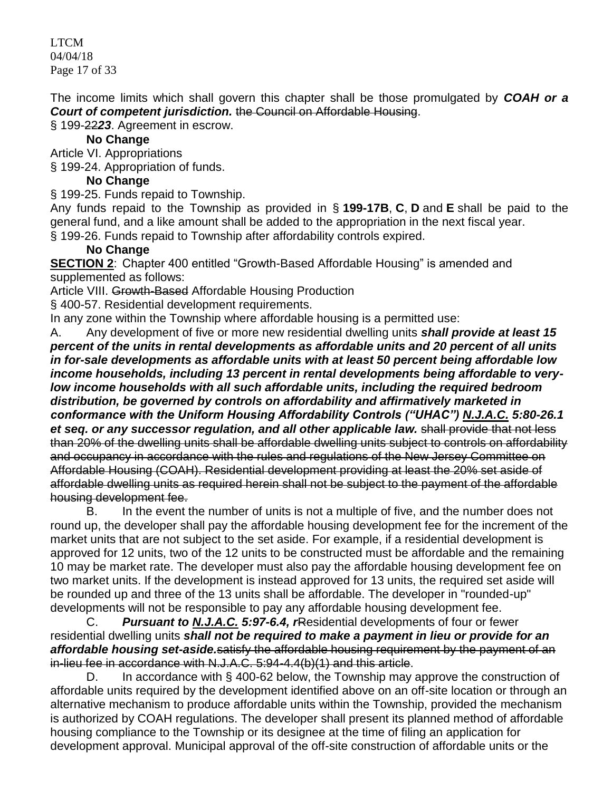LTCM 04/04/18 Page 17 of 33

The income limits which shall govern this chapter shall be those promulgated by *COAH or a Court of competent jurisdiction.* the Council on Affordable Housing.

§ 199-22*23*. Agreement in escrow.

# **No Change**

Article VI. Appropriations

§ 199-24. Appropriation of funds.

# **No Change**

§ 199-25. Funds repaid to Township.

Any funds repaid to the Township as provided in § **[199-17B](https://www.ecode360.com/print/6916944#6916944)**, **[C](https://www.ecode360.com/print/6916945#6916945)**, **[D](https://www.ecode360.com/print/6916946#6916946)** and **[E](https://www.ecode360.com/print/6916949#6916949)** shall be paid to the general fund, and a like amount shall be added to the appropriation in the next fiscal year.

§ 199-26. Funds repaid to Township after affordability controls expired.

# **No Change**

**SECTION 2:** [Chapter 400 entitled "Growth-Based Affordable Housing"](https://www.ecode360.com/print/LE2241?guid=6916605&children=true#6916605) is amended and supplemented as follows:

Article VIII. Growth-Based Affordable Housing Production

§ 400-57. Residential development requirements.

In any zone within the Township where affordable housing is a permitted use:

A. Any development of five or more new residential dwelling units *shall provide at least 15 percent of the units in rental developments as affordable units and 20 percent of all units in for-sale developments as affordable units with at least 50 percent being affordable low income households, including 13 percent in rental developments being affordable to verylow income households with all such affordable units, including the required bedroom distribution, be governed by controls on affordability and affirmatively marketed in conformance with the Uniform Housing Affordability Controls ("UHAC") N.J.A.C. 5:80-26.1 et seq. or any successor regulation, and all other applicable law.* shall provide that not less than 20% of the dwelling units shall be affordable dwelling units subject to controls on affordability and occupancy in accordance with the rules and regulations of the New Jersey Committee on Affordable Housing (COAH). Residential development providing at least the 20% set aside of affordable dwelling units as required herein shall not be subject to the payment of the affordable housing development fee.

B. In the event the number of units is not a multiple of five, and the number does not round up, the developer shall pay the affordable housing development fee for the increment of the market units that are not subject to the set aside. For example, if a residential development is approved for 12 units, two of the 12 units to be constructed must be affordable and the remaining 10 may be market rate. The developer must also pay the affordable housing development fee on two market units. If the development is instead approved for 13 units, the required set aside will be rounded up and three of the 13 units shall be affordable. The developer in "rounded-up" developments will not be responsible to pay any affordable housing development fee.

C. *Pursuant to N.J.A.C. 5:97-6.4, r*Residential developments of four or fewer residential dwelling units *shall not be required to make a payment in lieu or provide for an affordable housing set-aside.*satisfy the affordable housing requirement by the payment of an in-lieu fee in accordance with N.J.A.C. 5:94-4.4(b)(1) and this article.

D. In accordance with § 400-62 below, the Township may approve the construction of affordable units required by the development identified above on an off-site location or through an alternative mechanism to produce affordable units within the Township, provided the mechanism is authorized by COAH regulations. The developer shall present its planned method of affordable housing compliance to the Township or its designee at the time of filing an application for development approval. Municipal approval of the off-site construction of affordable units or the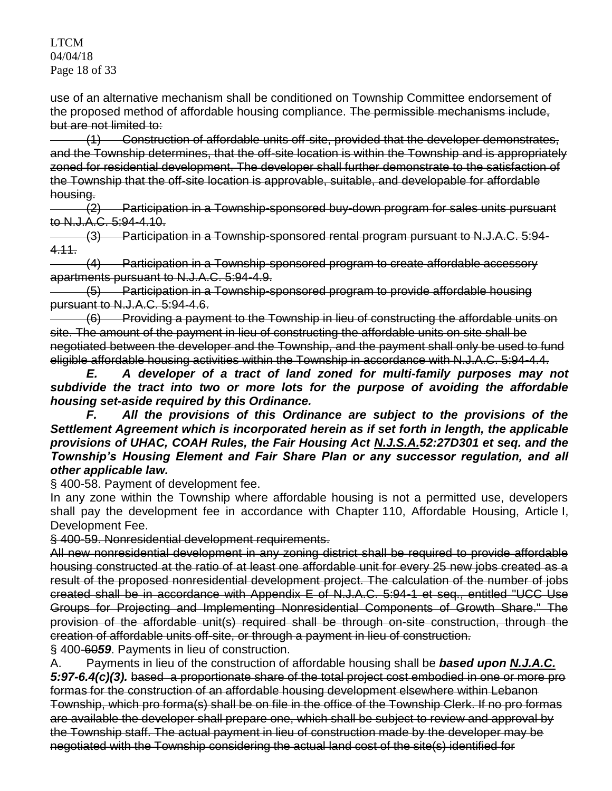LTCM 04/04/18 Page 18 of 33

use of an alternative mechanism shall be conditioned on Township Committee endorsement of the proposed method of affordable housing compliance. The permissible mechanisms include, but are not limited to:

(1) Construction of affordable units off-site, provided that the developer demonstrates, and the Township determines, that the off-site location is within the Township and is appropriately zoned for residential development. The developer shall further demonstrate to the satisfaction of the Township that the off-site location is approvable, suitable, and developable for affordable housing.

(2) Participation in a Township-sponsored buy-down program for sales units pursuant to N.J.A.C. 5:94-4.10.

(3) Participation in a Township-sponsored rental program pursuant to N.J.A.C. 5:94- 4.11.

(4) Participation in a Township-sponsored program to create affordable accessory apartments pursuant to N.J.A.C. 5:94-4.9.

(5) Participation in a Township-sponsored program to provide affordable housing pursuant to N.J.A.C. 5:94-4.6.

(6) Providing a payment to the Township in lieu of constructing the affordable units on site. The amount of the payment in lieu of constructing the affordable units on site shall be negotiated between the developer and the Township, and the payment shall only be used to fund eligible affordable housing activities within the Township in accordance with N.J.A.C. 5:94-4.4.

*E. A developer of a tract of land zoned for multi-family purposes may not subdivide the tract into two or more lots for the purpose of avoiding the affordable housing set-aside required by this Ordinance.*

*F. All the provisions of this Ordinance are subject to the provisions of the Settlement Agreement which is incorporated herein as if set forth in length, the applicable provisions of UHAC, COAH Rules, the Fair Housing Act N.J.S.A.52:27D301 et seq. and the Township's Housing Element and Fair Share Plan or any successor regulation, and all other applicable law.*

§ 400-58. Payment of development fee.

In any zone within the Township where affordable housing is not a permitted use, developers shall pay the development fee in accordance with Chapter 110, Affordable Housing, Article I, Development Fee.

§ 400-59. Nonresidential development requirements.

All new nonresidential development in any zoning district shall be required to provide affordable housing constructed at the ratio of at least one affordable unit for every 25 new jobs created as a result of the proposed nonresidential development project. The calculation of the number of jobs created shall be in accordance with Appendix E of N.J.A.C. 5:94-1 et seq., entitled "UCC Use Groups for Projecting and Implementing Nonresidential Components of Growth Share." The provision of the affordable unit(s) required shall be through on-site construction, through the creation of affordable units off-site, or through a payment in lieu of construction.

§ 400-60*59*. Payments in lieu of construction.

A. Payments in lieu of the construction of affordable housing shall be *based upon N.J.A.C. 5:97-6.4(c)(3).* based a proportionate share of the total project cost embodied in one or more pro formas for the construction of an affordable housing development elsewhere within Lebanon Township, which pro forma(s) shall be on file in the office of the Township Clerk. If no pro formas are available the developer shall prepare one, which shall be subject to review and approval by the Township staff. The actual payment in lieu of construction made by the developer may be negotiated with the Township considering the actual land cost of the site(s) identified for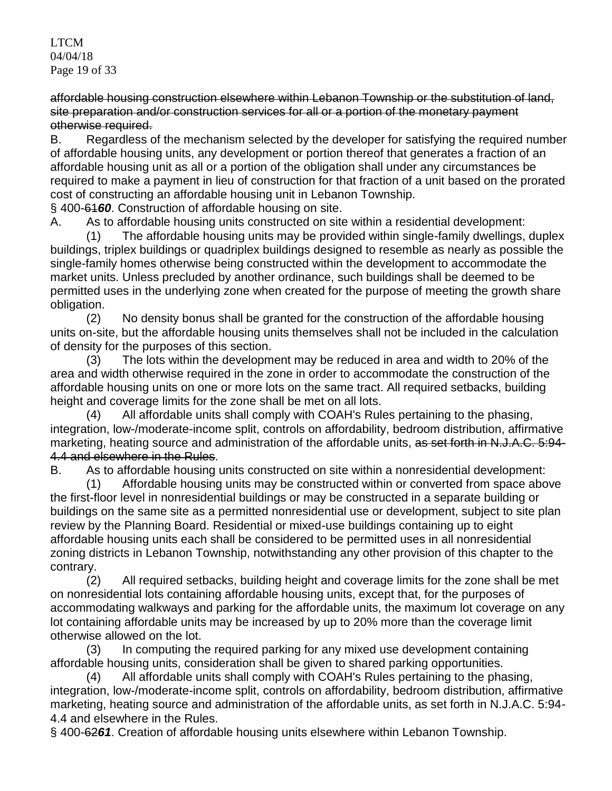LTCM 04/04/18 Page 19 of 33

affordable housing construction elsewhere within Lebanon Township or the substitution of land, site preparation and/or construction services for all or a portion of the monetary payment otherwise required.

B. Regardless of the mechanism selected by the developer for satisfying the required number of affordable housing units, any development or portion thereof that generates a fraction of an affordable housing unit as all or a portion of the obligation shall under any circumstances be required to make a payment in lieu of construction for that fraction of a unit based on the prorated cost of constructing an affordable housing unit in Lebanon Township.

§ 400-61*60*. Construction of affordable housing on site.

A. As to affordable housing units constructed on site within a residential development:

(1) The affordable housing units may be provided within single-family dwellings, duplex buildings, triplex buildings or quadriplex buildings designed to resemble as nearly as possible the single-family homes otherwise being constructed within the development to accommodate the market units. Unless precluded by another ordinance, such buildings shall be deemed to be permitted uses in the underlying zone when created for the purpose of meeting the growth share obligation.

(2) No density bonus shall be granted for the construction of the affordable housing units on-site, but the affordable housing units themselves shall not be included in the calculation of density for the purposes of this section.

(3) The lots within the development may be reduced in area and width to 20% of the area and width otherwise required in the zone in order to accommodate the construction of the affordable housing units on one or more lots on the same tract. All required setbacks, building height and coverage limits for the zone shall be met on all lots.

(4) All affordable units shall comply with COAH's Rules pertaining to the phasing, integration, low-/moderate-income split, controls on affordability, bedroom distribution, affirmative marketing, heating source and administration of the affordable units, as set forth in N.J.A.C. 5:94-4.4 and elsewhere in the Rules.

B. As to affordable housing units constructed on site within a nonresidential development:

(1) Affordable housing units may be constructed within or converted from space above the first-floor level in nonresidential buildings or may be constructed in a separate building or buildings on the same site as a permitted nonresidential use or development, subject to site plan review by the Planning Board. Residential or mixed-use buildings containing up to eight affordable housing units each shall be considered to be permitted uses in all nonresidential zoning districts in Lebanon Township, notwithstanding any other provision of this chapter to the contrary.

(2) All required setbacks, building height and coverage limits for the zone shall be met on nonresidential lots containing affordable housing units, except that, for the purposes of accommodating walkways and parking for the affordable units, the maximum lot coverage on any lot containing affordable units may be increased by up to 20% more than the coverage limit otherwise allowed on the lot.

(3) In computing the required parking for any mixed use development containing affordable housing units, consideration shall be given to shared parking opportunities.

(4) All affordable units shall comply with COAH's Rules pertaining to the phasing, integration, low-/moderate-income split, controls on affordability, bedroom distribution, affirmative marketing, heating source and administration of the affordable units, as set forth in N.J.A.C. 5:94- 4.4 and elsewhere in the Rules.

§ 400-62*61*. Creation of affordable housing units elsewhere within Lebanon Township.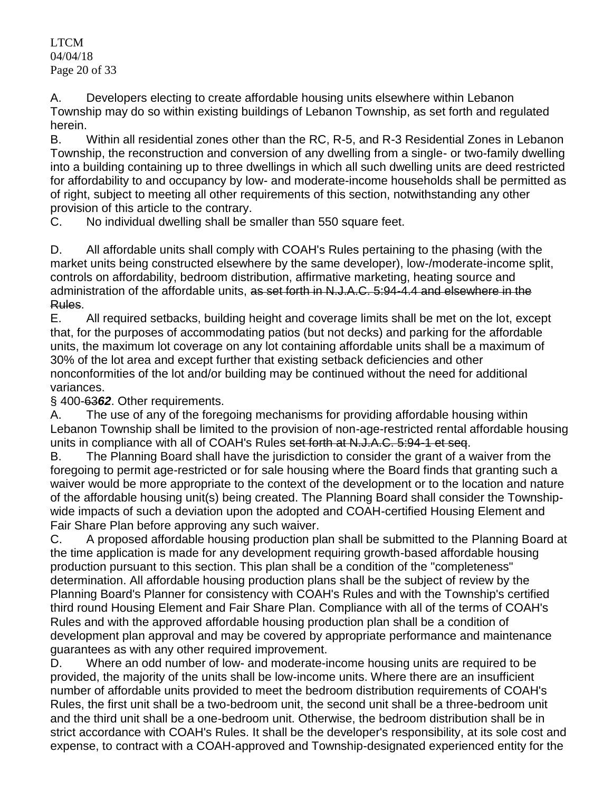LTCM 04/04/18 Page 20 of 33

A. Developers electing to create affordable housing units elsewhere within Lebanon Township may do so within existing buildings of Lebanon Township, as set forth and regulated herein.

B. Within all residential zones other than the RC, R-5, and R-3 Residential Zones in Lebanon Township, the reconstruction and conversion of any dwelling from a single- or two-family dwelling into a building containing up to three dwellings in which all such dwelling units are deed restricted for affordability to and occupancy by low- and moderate-income households shall be permitted as of right, subject to meeting all other requirements of this section, notwithstanding any other provision of this article to the contrary.

C. No individual dwelling shall be smaller than 550 square feet.

D. All affordable units shall comply with COAH's Rules pertaining to the phasing (with the market units being constructed elsewhere by the same developer), low-/moderate-income split, controls on affordability, bedroom distribution, affirmative marketing, heating source and administration of the affordable units, as set forth in N.J.A.C. 5:94-4.4 and elsewhere in the Rules.

E. All required setbacks, building height and coverage limits shall be met on the lot, except that, for the purposes of accommodating patios (but not decks) and parking for the affordable units, the maximum lot coverage on any lot containing affordable units shall be a maximum of 30% of the lot area and except further that existing setback deficiencies and other nonconformities of the lot and/or building may be continued without the need for additional variances.

§ 400-63*62*. Other requirements.

A. The use of any of the foregoing mechanisms for providing affordable housing within Lebanon Township shall be limited to the provision of non-age-restricted rental affordable housing units in compliance with all of COAH's Rules set forth at N.J.A.C. 5:94-1 et seq.

B. The Planning Board shall have the jurisdiction to consider the grant of a waiver from the foregoing to permit age-restricted or for sale housing where the Board finds that granting such a waiver would be more appropriate to the context of the development or to the location and nature of the affordable housing unit(s) being created. The Planning Board shall consider the Townshipwide impacts of such a deviation upon the adopted and COAH-certified Housing Element and Fair Share Plan before approving any such waiver.

C. A proposed affordable housing production plan shall be submitted to the Planning Board at the time application is made for any development requiring growth-based affordable housing production pursuant to this section. This plan shall be a condition of the "completeness" determination. All affordable housing production plans shall be the subject of review by the Planning Board's Planner for consistency with COAH's Rules and with the Township's certified third round Housing Element and Fair Share Plan. Compliance with all of the terms of COAH's Rules and with the approved affordable housing production plan shall be a condition of development plan approval and may be covered by appropriate performance and maintenance guarantees as with any other required improvement.

D. Where an odd number of low- and moderate-income housing units are required to be provided, the majority of the units shall be low-income units. Where there are an insufficient number of affordable units provided to meet the bedroom distribution requirements of COAH's Rules, the first unit shall be a two-bedroom unit, the second unit shall be a three-bedroom unit and the third unit shall be a one-bedroom unit. Otherwise, the bedroom distribution shall be in strict accordance with COAH's Rules. It shall be the developer's responsibility, at its sole cost and expense, to contract with a COAH-approved and Township-designated experienced entity for the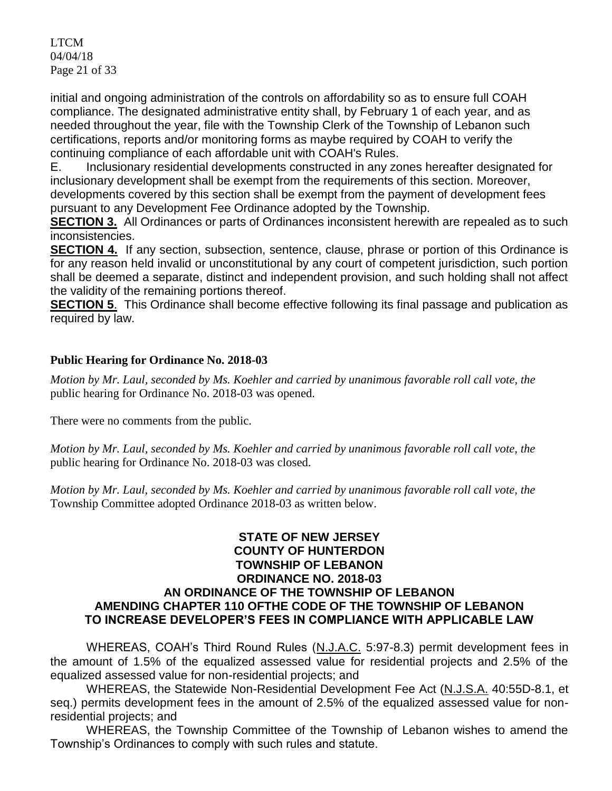LTCM 04/04/18 Page 21 of 33

initial and ongoing administration of the controls on affordability so as to ensure full COAH compliance. The designated administrative entity shall, by February 1 of each year, and as needed throughout the year, file with the Township Clerk of the Township of Lebanon such certifications, reports and/or monitoring forms as maybe required by COAH to verify the continuing compliance of each affordable unit with COAH's Rules.

E. Inclusionary residential developments constructed in any zones hereafter designated for inclusionary development shall be exempt from the requirements of this section. Moreover, developments covered by this section shall be exempt from the payment of development fees pursuant to any Development Fee Ordinance adopted by the Township.

**SECTION 3.** All Ordinances or parts of Ordinances inconsistent herewith are repealed as to such inconsistencies.

**SECTION 4.** If any section, subsection, sentence, clause, phrase or portion of this Ordinance is for any reason held invalid or unconstitutional by any court of competent jurisdiction, such portion shall be deemed a separate, distinct and independent provision, and such holding shall not affect the validity of the remaining portions thereof.

**SECTION 5.** This Ordinance shall become effective following its final passage and publication as required by law.

## **Public Hearing for Ordinance No. 2018-03**

*Motion by Mr. Laul, seconded by Ms. Koehler and carried by unanimous favorable roll call vote, the*  public hearing for Ordinance No. 2018-03 was opened.

There were no comments from the public.

*Motion by Mr. Laul, seconded by Ms. Koehler and carried by unanimous favorable roll call vote, the*  public hearing for Ordinance No. 2018-03 was closed.

*Motion by Mr. Laul, seconded by Ms. Koehler and carried by unanimous favorable roll call vote, the*  Township Committee adopted Ordinance 2018-03 as written below.

### **STATE OF NEW JERSEY COUNTY OF HUNTERDON TOWNSHIP OF LEBANON ORDINANCE NO. 2018-03 AN ORDINANCE OF THE TOWNSHIP OF LEBANON AMENDING CHAPTER 110 OFTHE CODE OF THE TOWNSHIP OF LEBANON TO INCREASE DEVELOPER'S FEES IN COMPLIANCE WITH APPLICABLE LAW**

WHEREAS, COAH's Third Round Rules (N.J.A.C. 5:97-8.3) permit development fees in the amount of 1.5% of the equalized assessed value for residential projects and 2.5% of the equalized assessed value for non-residential projects; and

WHEREAS, the Statewide Non-Residential Development Fee Act (N.J.S.A. 40:55D-8.1, et seq.) permits development fees in the amount of 2.5% of the equalized assessed value for nonresidential projects; and

WHEREAS, the Township Committee of the Township of Lebanon wishes to amend the Township's Ordinances to comply with such rules and statute.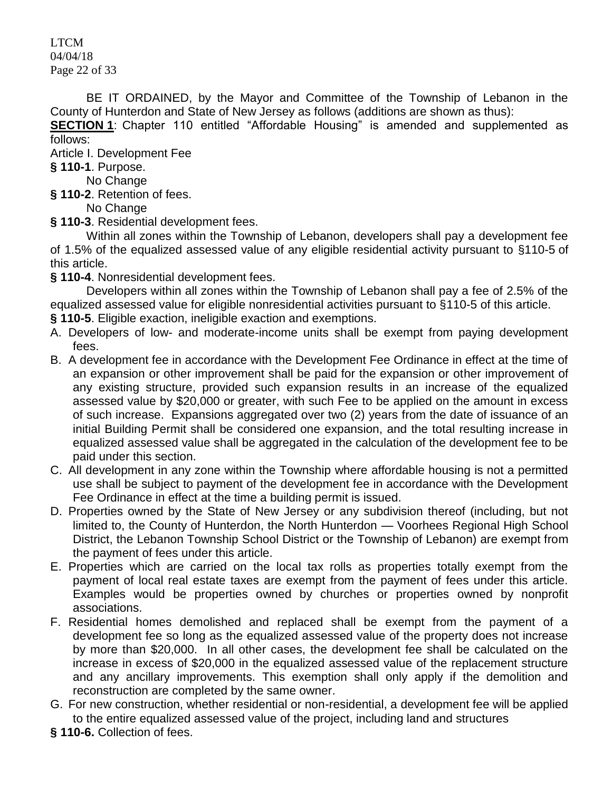LTCM 04/04/18 Page 22 of 33

BE IT ORDAINED, by the Mayor and Committee of the Township of Lebanon in the County of Hunterdon and State of New Jersey as follows (additions are shown as thus):

**SECTION 1**: [Chapter 110 entitled "Affordable Housing"](https://www.ecode360.com/print/LE2241?guid=6916605&children=true#6916605) is amended and supplemented as follows:

[Article I. Development Fee](https://www.ecode360.com/print/LE2241?guid=6916605&children=true#6916606)

**§ 110-1**[. Purpose.](https://www.ecode360.com/print/LE2241?guid=6916605&children=true#6916607)

No Change

**§ 110-2**[. Retention of fees.](https://www.ecode360.com/print/LE2241?guid=6916605&children=true#6916608)

No Change

**§ 110-3**[. Residential development fees.](https://www.ecode360.com/print/LE2241?guid=6916605&children=true#6916609)

Within all zones within the Township of Lebanon, developers shall pay a development fee of 1.5% of the equalized assessed value of any eligible residential activity pursuant to §110-5 of this article.

**§ 110-4**[. Nonresidential development fees.](https://www.ecode360.com/print/LE2241?guid=6916605&children=true#6916610)

Developers within all zones within the Township of Lebanon shall pay a fee of 2.5% of the equalized assessed value for eligible nonresidential activities pursuant to §110-5 of this article.

**§ 110-5**[. Eligible exaction, ineligible exaction and exemptions.](https://www.ecode360.com/print/LE2241?guid=6916605&children=true#6916611)

- A. Developers of low- and moderate-income units shall be exempt from paying development fees.
- B. A development fee in accordance with the Development Fee Ordinance in effect at the time of an expansion or other improvement shall be paid for the expansion or other improvement of any existing structure, provided such expansion results in an increase of the equalized assessed value by \$20,000 or greater, with such Fee to be applied on the amount in excess of such increase. Expansions aggregated over two (2) years from the date of issuance of an initial Building Permit shall be considered one expansion, and the total resulting increase in equalized assessed value shall be aggregated in the calculation of the development fee to be paid under this section.
- C. All development in any zone within the Township where affordable housing is not a permitted use shall be subject to payment of the development fee in accordance with the Development Fee Ordinance in effect at the time a building permit is issued.
- D. Properties owned by the State of New Jersey or any subdivision thereof (including, but not limited to, the County of Hunterdon, the North Hunterdon — Voorhees Regional High School District, the Lebanon Township School District or the Township of Lebanon) are exempt from the payment of fees under this article.
- E. Properties which are carried on the local tax rolls as properties totally exempt from the payment of local real estate taxes are exempt from the payment of fees under this article. Examples would be properties owned by churches or properties owned by nonprofit associations.
- F. Residential homes demolished and replaced shall be exempt from the payment of a development fee so long as the equalized assessed value of the property does not increase by more than \$20,000. In all other cases, the development fee shall be calculated on the increase in excess of \$20,000 in the equalized assessed value of the replacement structure and any ancillary improvements. This exemption shall only apply if the demolition and reconstruction are completed by the same owner.
- G. For new construction, whether residential or non-residential, a development fee will be applied to the entire equalized assessed value of the project, including land and structures
- **§ 110-6.** [Collection of fees.](https://www.ecode360.com/print/LE2241?guid=6916605&children=true#6916617)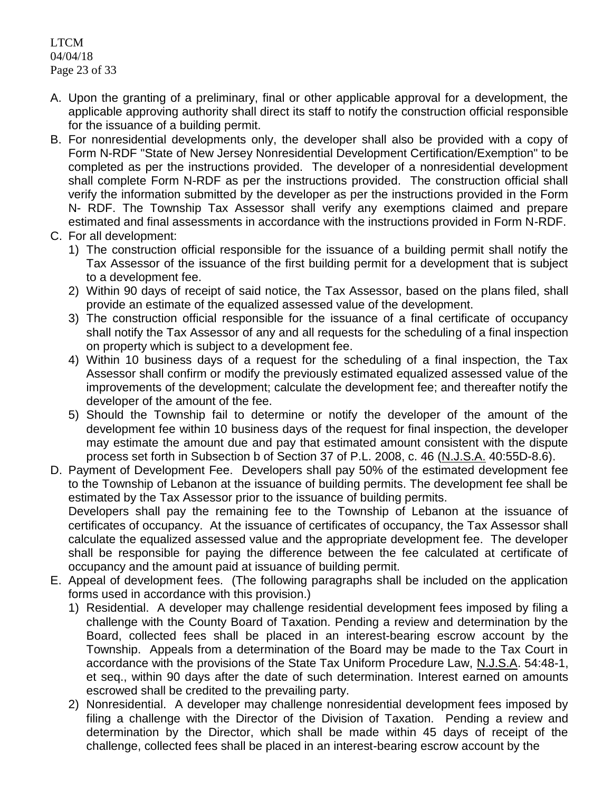LTCM 04/04/18 Page 23 of 33

- A. Upon the granting of a preliminary, final or other applicable approval for a development, the applicable approving authority shall direct its staff to notify the construction official responsible for the issuance of a building permit.
- B. For nonresidential developments only, the developer shall also be provided with a copy of Form N-RDF "State of New Jersey Nonresidential Development Certification/Exemption" to be completed as per the instructions provided. The developer of a nonresidential development shall complete Form N-RDF as per the instructions provided. The construction official shall verify the information submitted by the developer as per the instructions provided in the Form N- RDF. The Township Tax Assessor shall verify any exemptions claimed and prepare estimated and final assessments in accordance with the instructions provided in Form N-RDF.
- C. For all development:
	- 1) The construction official responsible for the issuance of a building permit shall notify the Tax Assessor of the issuance of the first building permit for a development that is subject to a development fee.
	- 2) Within 90 days of receipt of said notice, the Tax Assessor, based on the plans filed, shall provide an estimate of the equalized assessed value of the development.
	- 3) The construction official responsible for the issuance of a final certificate of occupancy shall notify the Tax Assessor of any and all requests for the scheduling of a final inspection on property which is subject to a development fee.
	- 4) Within 10 business days of a request for the scheduling of a final inspection, the Tax Assessor shall confirm or modify the previously estimated equalized assessed value of the improvements of the development; calculate the development fee; and thereafter notify the developer of the amount of the fee.
	- 5) Should the Township fail to determine or notify the developer of the amount of the development fee within 10 business days of the request for final inspection, the developer may estimate the amount due and pay that estimated amount consistent with the dispute process set forth in Subsection b of Section 37 of P.L. 2008, c. 46 (N.J.S.A. 40:55D-8.6).
- D. Payment of Development Fee. Developers shall pay 50% of the estimated development fee to the Township of Lebanon at the issuance of building permits. The development fee shall be estimated by the Tax Assessor prior to the issuance of building permits. Developers shall pay the remaining fee to the Township of Lebanon at the issuance of certificates of occupancy. At the issuance of certificates of occupancy, the Tax Assessor shall calculate the equalized assessed value and the appropriate development fee. The developer shall be responsible for paying the difference between the fee calculated at certificate of occupancy and the amount paid at issuance of building permit.
- E. Appeal of development fees. (The following paragraphs shall be included on the application forms used in accordance with this provision.)
	- 1) Residential. A developer may challenge residential development fees imposed by filing a challenge with the County Board of Taxation. Pending a review and determination by the Board, collected fees shall be placed in an interest-bearing escrow account by the Township. Appeals from a determination of the Board may be made to the Tax Court in accordance with the provisions of the State Tax Uniform Procedure Law, N.J.S.A. 54:48-1, et seq., within 90 days after the date of such determination. Interest earned on amounts escrowed shall be credited to the prevailing party.
	- 2) Nonresidential. A developer may challenge nonresidential development fees imposed by filing a challenge with the Director of the Division of Taxation. Pending a review and determination by the Director, which shall be made within 45 days of receipt of the challenge, collected fees shall be placed in an interest-bearing escrow account by the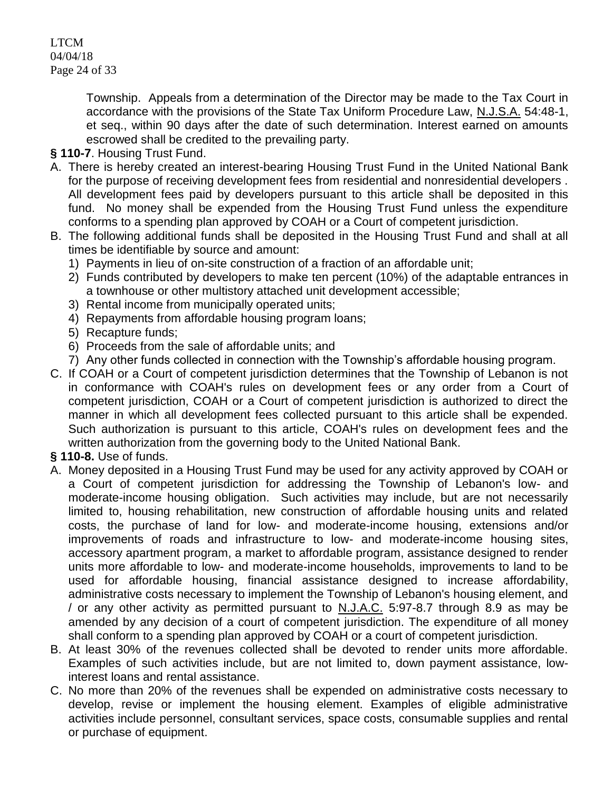LTCM 04/04/18 Page 24 of 33

> Township. Appeals from a determination of the Director may be made to the Tax Court in accordance with the provisions of the State Tax Uniform Procedure Law, N.J.S.A. 54:48-1, et seq., within 90 days after the date of such determination. Interest earned on amounts escrowed shall be credited to the prevailing party.

- **§ 110-7**. Housing Trust Fund.
- A. There is hereby created an interest-bearing Housing Trust Fund in the United National Bank for the purpose of receiving development fees from residential and nonresidential developers . All development fees paid by developers pursuant to this article shall be deposited in this fund. No money shall be expended from the Housing Trust Fund unless the expenditure conforms to a spending plan approved by COAH or a Court of competent jurisdiction.
- B. The following additional funds shall be deposited in the Housing Trust Fund and shall at all times be identifiable by source and amount:
	- 1) Payments in lieu of on-site construction of a fraction of an affordable unit;
	- 2) Funds contributed by developers to make ten percent (10%) of the adaptable entrances in a townhouse or other multistory attached unit development accessible;
	- 3) Rental income from municipally operated units;
	- 4) Repayments from affordable housing program loans;
	- 5) Recapture funds;
	- 6) Proceeds from the sale of affordable units; and
	- 7) Any other funds collected in connection with the Township's affordable housing program.
- C. If COAH or a Court of competent jurisdiction determines that the Township of Lebanon is not in conformance with COAH's rules on development fees or any order from a Court of competent jurisdiction, COAH or a Court of competent jurisdiction is authorized to direct the manner in which all development fees collected pursuant to this article shall be expended. Such authorization is pursuant to this article, COAH's rules on development fees and the written authorization from the governing body to the United National Bank.

## **§ 110-8.** [Use of funds.](https://www.ecode360.com/print/LE2241?guid=6916605&children=true#6916623)

- A. Money deposited in a Housing Trust Fund may be used for any activity approved by COAH or a Court of competent jurisdiction for addressing the Township of Lebanon's low- and moderate-income housing obligation. Such activities may include, but are not necessarily limited to, housing rehabilitation, new construction of affordable housing units and related costs, the purchase of land for low- and moderate-income housing, extensions and/or improvements of roads and infrastructure to low- and moderate-income housing sites, accessory apartment program, a market to affordable program, assistance designed to render units more affordable to low- and moderate-income households, improvements to land to be used for affordable housing, financial assistance designed to increase affordability, administrative costs necessary to implement the Township of Lebanon's housing element, and / or any other activity as permitted pursuant to N.J.A.C. 5:97-8.7 through 8.9 as may be amended by any decision of a court of competent jurisdiction. The expenditure of all money shall conform to a spending plan approved by COAH or a court of competent jurisdiction.
- B. At least 30% of the revenues collected shall be devoted to render units more affordable. Examples of such activities include, but are not limited to, down payment assistance, lowinterest loans and rental assistance.
- C. No more than 20% of the revenues shall be expended on administrative costs necessary to develop, revise or implement the housing element. Examples of eligible administrative activities include personnel, consultant services, space costs, consumable supplies and rental or purchase of equipment.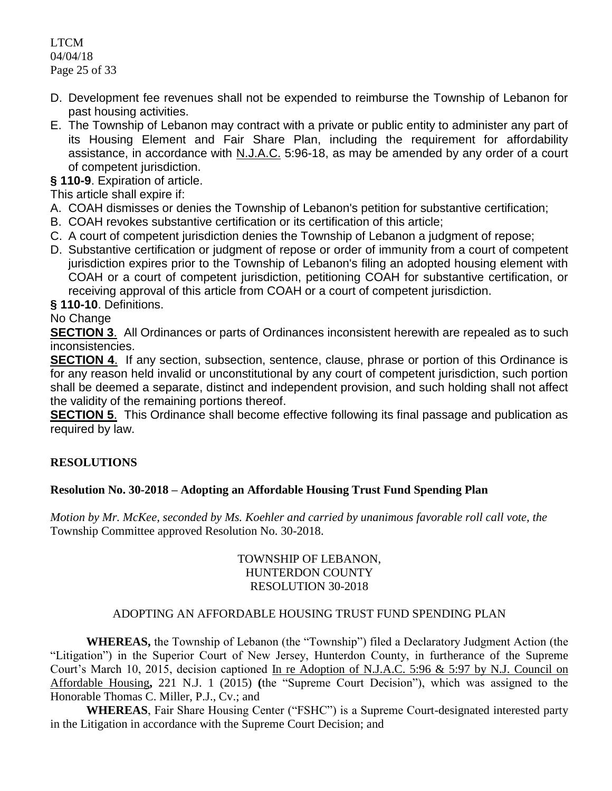LTCM 04/04/18 Page 25 of 33

- D. Development fee revenues shall not be expended to reimburse the Township of Lebanon for past housing activities.
- E. The Township of Lebanon may contract with a private or public entity to administer any part of its Housing Element and Fair Share Plan, including the requirement for affordability assistance, in accordance with N.J.A.C. 5:96-18, as may be amended by any order of a court of competent jurisdiction.

**§ 110-9**[. Expiration of article.](https://www.ecode360.com/print/LE2241?guid=6916605&children=true#6916628)

This article shall expire if:

- A. COAH dismisses or denies the Township of Lebanon's petition for substantive certification;
- B. COAH revokes substantive certification or its certification of this article;
- C. A court of competent jurisdiction denies the Township of Lebanon a judgment of repose;
- D. Substantive certification or judgment of repose or order of immunity from a court of competent jurisdiction expires prior to the Township of Lebanon's filing an adopted housing element with COAH or a court of competent jurisdiction, petitioning COAH for substantive certification, or receiving approval of this article from COAH or a court of competent jurisdiction.

**§ 110-10**[. Definitions.](https://www.ecode360.com/print/LE2241?guid=6916605&children=true#6916632)

## No Change

**SECTION 3.** All Ordinances or parts of Ordinances inconsistent herewith are repealed as to such inconsistencies.

**SECTION 4.** If any section, subsection, sentence, clause, phrase or portion of this Ordinance is for any reason held invalid or unconstitutional by any court of competent jurisdiction, such portion shall be deemed a separate, distinct and independent provision, and such holding shall not affect the validity of the remaining portions thereof.

**SECTION 5**. This Ordinance shall become effective following its final passage and publication as required by law.

## **RESOLUTIONS**

## **Resolution No. 30-2018 – Adopting an Affordable Housing Trust Fund Spending Plan**

*Motion by Mr. McKee, seconded by Ms. Koehler and carried by unanimous favorable roll call vote, the*  Township Committee approved Resolution No. 30-2018.

## TOWNSHIP OF LEBANON, HUNTERDON COUNTY RESOLUTION 30-2018

## ADOPTING AN AFFORDABLE HOUSING TRUST FUND SPENDING PLAN

**WHEREAS,** the Township of Lebanon (the "Township") filed a Declaratory Judgment Action (the "Litigation") in the Superior Court of New Jersey, Hunterdon County, in furtherance of the Supreme Court's March 10, 2015, decision captioned In re Adoption of N.J.A.C. 5:96 & 5:97 by N.J. Council on Affordable Housing**,** 221 N.J. 1 (2015) **(**the "Supreme Court Decision"), which was assigned to the Honorable Thomas C. Miller, P.J., Cv.; and

**WHEREAS**, Fair Share Housing Center ("FSHC") is a Supreme Court-designated interested party in the Litigation in accordance with the Supreme Court Decision; and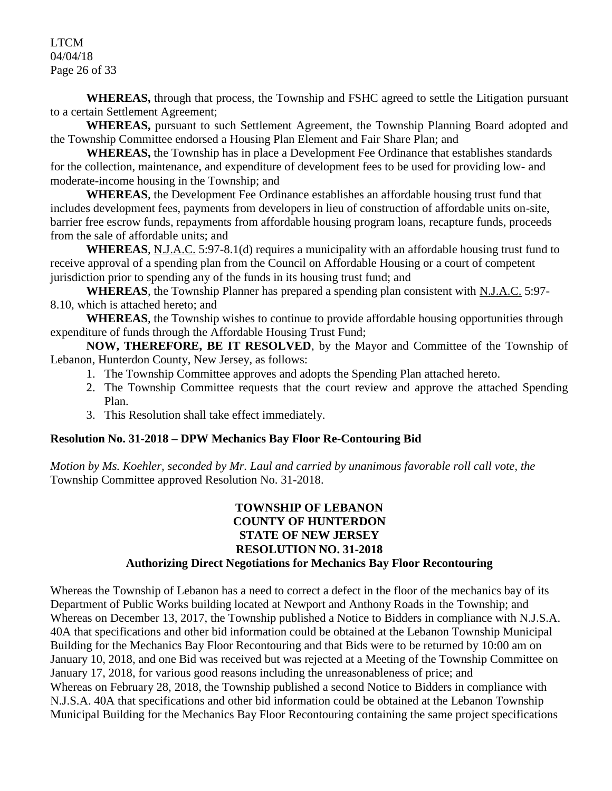LTCM 04/04/18 Page 26 of 33

**WHEREAS,** through that process, the Township and FSHC agreed to settle the Litigation pursuant to a certain Settlement Agreement;

**WHEREAS,** pursuant to such Settlement Agreement, the Township Planning Board adopted and the Township Committee endorsed a Housing Plan Element and Fair Share Plan; and

**WHEREAS,** the Township has in place a Development Fee Ordinance that establishes standards for the collection, maintenance, and expenditure of development fees to be used for providing low- and moderate-income housing in the Township; and

**WHEREAS**, the Development Fee Ordinance establishes an affordable housing trust fund that includes development fees, payments from developers in lieu of construction of affordable units on-site, barrier free escrow funds, repayments from affordable housing program loans, recapture funds, proceeds from the sale of affordable units; and

**WHEREAS**, N.J.A.C. 5:97-8.1(d) requires a municipality with an affordable housing trust fund to receive approval of a spending plan from the Council on Affordable Housing or a court of competent jurisdiction prior to spending any of the funds in its housing trust fund; and

**WHEREAS**, the Township Planner has prepared a spending plan consistent with N.J.A.C. 5:97- 8.10, which is attached hereto; and

**WHEREAS**, the Township wishes to continue to provide affordable housing opportunities through expenditure of funds through the Affordable Housing Trust Fund;

**NOW, THEREFORE, BE IT RESOLVED**, by the Mayor and Committee of the Township of Lebanon, Hunterdon County, New Jersey, as follows:

- 1. The Township Committee approves and adopts the Spending Plan attached hereto.
- 2. The Township Committee requests that the court review and approve the attached Spending Plan.
- 3. This Resolution shall take effect immediately.

## **Resolution No. 31-2018 – DPW Mechanics Bay Floor Re-Contouring Bid**

*Motion by Ms. Koehler, seconded by Mr. Laul and carried by unanimous favorable roll call vote, the*  Township Committee approved Resolution No. 31-2018.

### **TOWNSHIP OF LEBANON COUNTY OF HUNTERDON STATE OF NEW JERSEY RESOLUTION NO. 31-2018 Authorizing Direct Negotiations for Mechanics Bay Floor Recontouring**

Whereas the Township of Lebanon has a need to correct a defect in the floor of the mechanics bay of its Department of Public Works building located at Newport and Anthony Roads in the Township; and Whereas on December 13, 2017, the Township published a Notice to Bidders in compliance with N.J.S.A. 40A that specifications and other bid information could be obtained at the Lebanon Township Municipal Building for the Mechanics Bay Floor Recontouring and that Bids were to be returned by 10:00 am on January 10, 2018, and one Bid was received but was rejected at a Meeting of the Township Committee on January 17, 2018, for various good reasons including the unreasonableness of price; and Whereas on February 28, 2018, the Township published a second Notice to Bidders in compliance with N.J.S.A. 40A that specifications and other bid information could be obtained at the Lebanon Township Municipal Building for the Mechanics Bay Floor Recontouring containing the same project specifications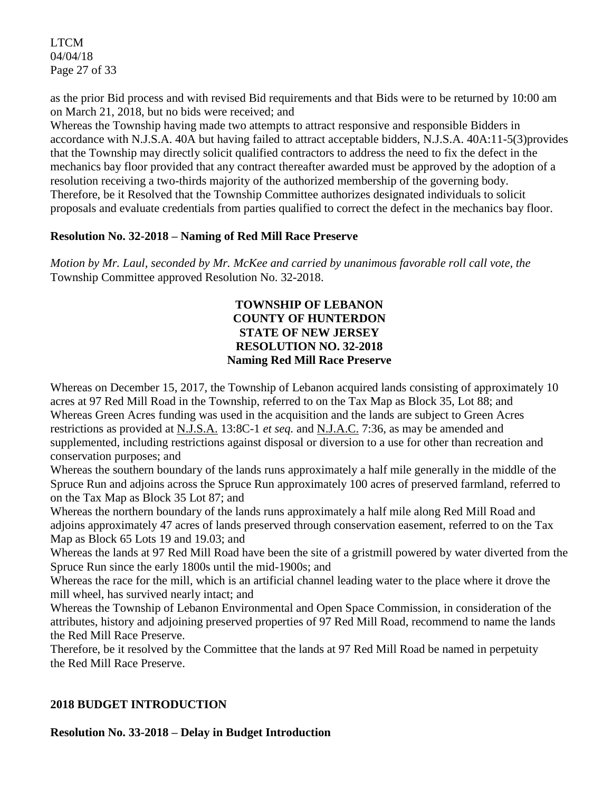LTCM 04/04/18 Page 27 of 33

as the prior Bid process and with revised Bid requirements and that Bids were to be returned by 10:00 am on March 21, 2018, but no bids were received; and

Whereas the Township having made two attempts to attract responsive and responsible Bidders in accordance with N.J.S.A. 40A but having failed to attract acceptable bidders, N.J.S.A. 40A:11-5(3)provides that the Township may directly solicit qualified contractors to address the need to fix the defect in the mechanics bay floor provided that any contract thereafter awarded must be approved by the adoption of a resolution receiving a two-thirds majority of the authorized membership of the governing body. Therefore, be it Resolved that the Township Committee authorizes designated individuals to solicit proposals and evaluate credentials from parties qualified to correct the defect in the mechanics bay floor.

## **Resolution No. 32-2018 – Naming of Red Mill Race Preserve**

*Motion by Mr. Laul, seconded by Mr. McKee and carried by unanimous favorable roll call vote, the* Township Committee approved Resolution No. 32-2018.

## **TOWNSHIP OF LEBANON COUNTY OF HUNTERDON STATE OF NEW JERSEY RESOLUTION NO. 32-2018 Naming Red Mill Race Preserve**

Whereas on December 15, 2017, the Township of Lebanon acquired lands consisting of approximately 10 acres at 97 Red Mill Road in the Township, referred to on the Tax Map as Block 35, Lot 88; and Whereas Green Acres funding was used in the acquisition and the lands are subject to Green Acres restrictions as provided at N.J.S.A. 13:8C-1 *et seq.* and N.J.A.C. 7:36, as may be amended and supplemented, including restrictions against disposal or diversion to a use for other than recreation and conservation purposes; and

Whereas the southern boundary of the lands runs approximately a half mile generally in the middle of the Spruce Run and adjoins across the Spruce Run approximately 100 acres of preserved farmland, referred to on the Tax Map as Block 35 Lot 87; and

Whereas the northern boundary of the lands runs approximately a half mile along Red Mill Road and adjoins approximately 47 acres of lands preserved through conservation easement, referred to on the Tax Map as Block 65 Lots 19 and 19.03; and

Whereas the lands at 97 Red Mill Road have been the site of a gristmill powered by water diverted from the Spruce Run since the early 1800s until the mid-1900s; and

Whereas the race for the mill, which is an artificial channel leading water to the place where it drove the mill wheel, has survived nearly intact; and

Whereas the Township of Lebanon Environmental and Open Space Commission, in consideration of the attributes, history and adjoining preserved properties of 97 Red Mill Road, recommend to name the lands the Red Mill Race Preserve.

Therefore, be it resolved by the Committee that the lands at 97 Red Mill Road be named in perpetuity the Red Mill Race Preserve.

# **2018 BUDGET INTRODUCTION**

**Resolution No. 33-2018 – Delay in Budget Introduction**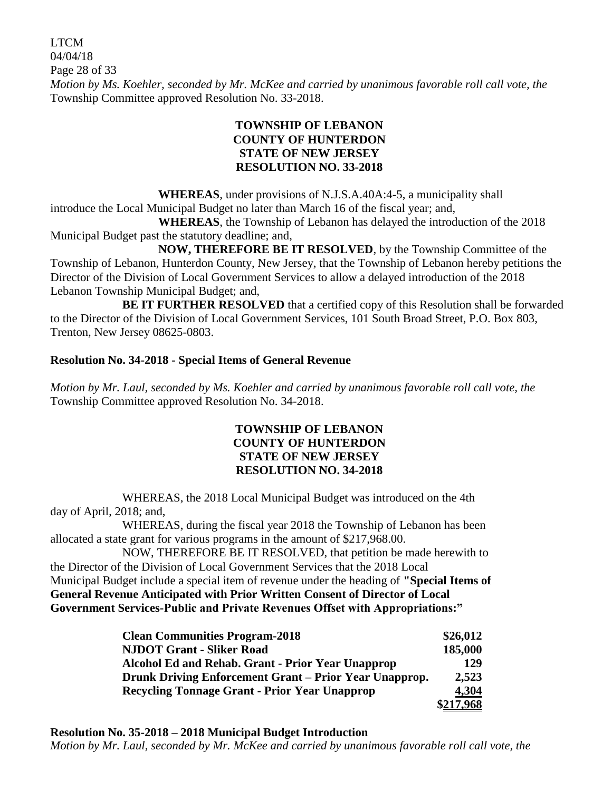LTCM 04/04/18 Page 28 of 33 *Motion by Ms. Koehler, seconded by Mr. McKee and carried by unanimous favorable roll call vote, the*  Township Committee approved Resolution No. 33-2018.

# **TOWNSHIP OF LEBANON COUNTY OF HUNTERDON STATE OF NEW JERSEY RESOLUTION NO. 33-2018**

**WHEREAS**, under provisions of N.J.S.A.40A:4-5, a municipality shall introduce the Local Municipal Budget no later than March 16 of the fiscal year; and,

**WHEREAS**, the Township of Lebanon has delayed the introduction of the 2018 Municipal Budget past the statutory deadline; and,

**NOW, THEREFORE BE IT RESOLVED**, by the Township Committee of the Township of Lebanon, Hunterdon County, New Jersey, that the Township of Lebanon hereby petitions the Director of the Division of Local Government Services to allow a delayed introduction of the 2018 Lebanon Township Municipal Budget; and,

**BE IT FURTHER RESOLVED** that a certified copy of this Resolution shall be forwarded to the Director of the Division of Local Government Services, 101 South Broad Street, P.O. Box 803, Trenton, New Jersey 08625-0803.

# **Resolution No. 34-2018 - Special Items of General Revenue**

*Motion by Mr. Laul, seconded by Ms. Koehler and carried by unanimous favorable roll call vote, the*  Township Committee approved Resolution No. 34-2018.

### **TOWNSHIP OF LEBANON COUNTY OF HUNTERDON STATE OF NEW JERSEY RESOLUTION NO. 34-2018**

WHEREAS, the 2018 Local Municipal Budget was introduced on the 4th day of April, 2018; and,

WHEREAS, during the fiscal year 2018 the Township of Lebanon has been allocated a state grant for various programs in the amount of \$217,968.00.

NOW, THEREFORE BE IT RESOLVED, that petition be made herewith to the Director of the Division of Local Government Services that the 2018 Local Municipal Budget include a special item of revenue under the heading of **"Special Items of General Revenue Anticipated with Prior Written Consent of Director of Local Government Services-Public and Private Revenues Offset with Appropriations:"**

| <b>Clean Communities Program-2018</b>                  | \$26,012  |
|--------------------------------------------------------|-----------|
| <b>NJDOT Grant - Sliker Road</b>                       | 185,000   |
| Alcohol Ed and Rehab. Grant - Prior Year Unapprop      | 129       |
| Drunk Driving Enforcement Grant - Prior Year Unapprop. | 2,523     |
| <b>Recycling Tonnage Grant - Prior Year Unapprop</b>   |           |
|                                                        | \$217,968 |

**Resolution No. 35-2018 – 2018 Municipal Budget Introduction**

*Motion by Mr. Laul, seconded by Mr. McKee and carried by unanimous favorable roll call vote, the*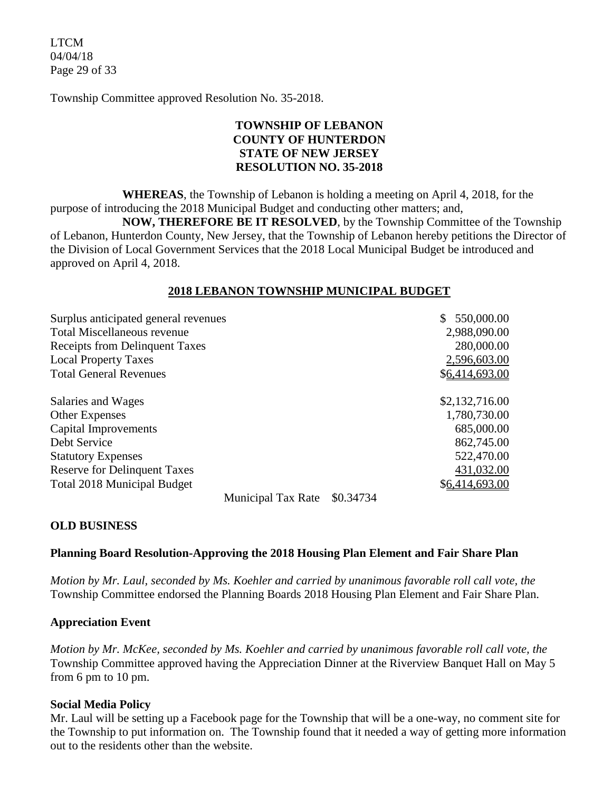LTCM 04/04/18 Page 29 of 33

Township Committee approved Resolution No. 35-2018.

# **TOWNSHIP OF LEBANON COUNTY OF HUNTERDON STATE OF NEW JERSEY RESOLUTION NO. 35-2018**

**WHEREAS**, the Township of Lebanon is holding a meeting on April 4, 2018, for the purpose of introducing the 2018 Municipal Budget and conducting other matters; and,

**NOW, THEREFORE BE IT RESOLVED**, by the Township Committee of the Township of Lebanon, Hunterdon County, New Jersey, that the Township of Lebanon hereby petitions the Director of the Division of Local Government Services that the 2018 Local Municipal Budget be introduced and approved on April 4, 2018.

### **2018 LEBANON TOWNSHIP MUNICIPAL BUDGET**

| Surplus anticipated general revenues  |                                              |           | \$550,000.00   |
|---------------------------------------|----------------------------------------------|-----------|----------------|
| <b>Total Miscellaneous revenue</b>    | 2,988,090.00                                 |           |                |
| <b>Receipts from Delinquent Taxes</b> | 280,000.00<br>2,596,603.00<br>\$6,414,693.00 |           |                |
| <b>Local Property Taxes</b>           |                                              |           |                |
| <b>Total General Revenues</b>         |                                              |           |                |
| Salaries and Wages                    |                                              |           | \$2,132,716.00 |
| <b>Other Expenses</b>                 |                                              |           | 1,780,730.00   |
| Capital Improvements                  |                                              |           | 685,000.00     |
| Debt Service                          |                                              |           | 862,745.00     |
| <b>Statutory Expenses</b>             |                                              |           | 522,470.00     |
| <b>Reserve for Delinquent Taxes</b>   |                                              |           | 431,032.00     |
| <b>Total 2018 Municipal Budget</b>    |                                              |           | \$6,414,693.00 |
|                                       | <b>Municipal Tax Rate</b>                    | \$0.34734 |                |

### **OLD BUSINESS**

### **Planning Board Resolution-Approving the 2018 Housing Plan Element and Fair Share Plan**

*Motion by Mr. Laul, seconded by Ms. Koehler and carried by unanimous favorable roll call vote, the*  Township Committee endorsed the Planning Boards 2018 Housing Plan Element and Fair Share Plan.

### **Appreciation Event**

*Motion by Mr. McKee, seconded by Ms. Koehler and carried by unanimous favorable roll call vote, the*  Township Committee approved having the Appreciation Dinner at the Riverview Banquet Hall on May 5 from 6 pm to 10 pm.

### **Social Media Policy**

Mr. Laul will be setting up a Facebook page for the Township that will be a one-way, no comment site for the Township to put information on. The Township found that it needed a way of getting more information out to the residents other than the website.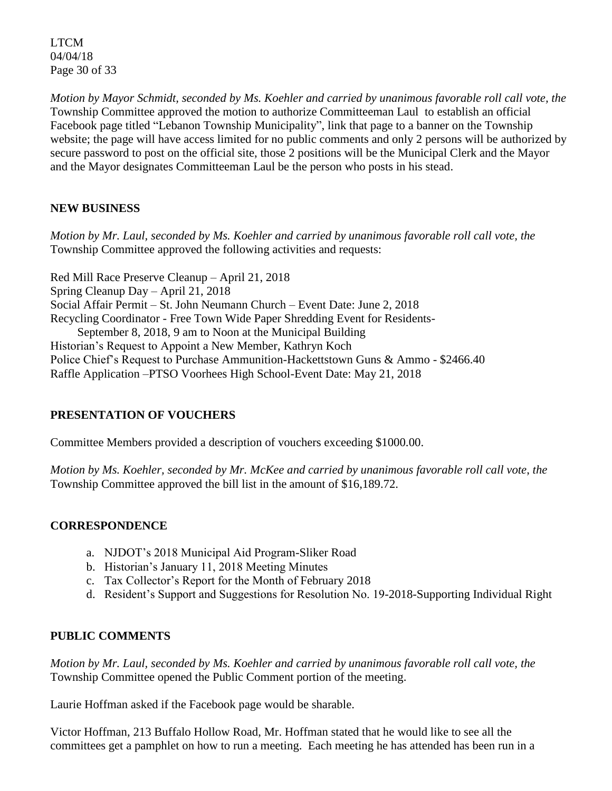LTCM 04/04/18 Page 30 of 33

*Motion by Mayor Schmidt, seconded by Ms. Koehler and carried by unanimous favorable roll call vote, the*  Township Committee approved the motion to authorize Committeeman Laul to establish an official Facebook page titled "Lebanon Township Municipality", link that page to a banner on the Township website; the page will have access limited for no public comments and only 2 persons will be authorized by secure password to post on the official site, those 2 positions will be the Municipal Clerk and the Mayor and the Mayor designates Committeeman Laul be the person who posts in his stead.

# **NEW BUSINESS**

*Motion by Mr. Laul, seconded by Ms. Koehler and carried by unanimous favorable roll call vote, the*  Township Committee approved the following activities and requests:

Red Mill Race Preserve Cleanup – April 21, 2018 Spring Cleanup Day – April 21, 2018 Social Affair Permit – St. John Neumann Church – Event Date: June 2, 2018 Recycling Coordinator - Free Town Wide Paper Shredding Event for Residents- September 8, 2018, 9 am to Noon at the Municipal Building Historian's Request to Appoint a New Member, Kathryn Koch Police Chief's Request to Purchase Ammunition-Hackettstown Guns & Ammo - \$2466.40 Raffle Application –PTSO Voorhees High School-Event Date: May 21, 2018

## **PRESENTATION OF VOUCHERS**

Committee Members provided a description of vouchers exceeding \$1000.00.

*Motion by Ms. Koehler, seconded by Mr. McKee and carried by unanimous favorable roll call vote*, *the*  Township Committee approved the bill list in the amount of \$16,189.72.

## **CORRESPONDENCE**

- a. NJDOT's 2018 Municipal Aid Program-Sliker Road
- b. Historian's January 11, 2018 Meeting Minutes
- c. Tax Collector's Report for the Month of February 2018
- d. Resident's Support and Suggestions for Resolution No. 19-2018-Supporting Individual Right

## **PUBLIC COMMENTS**

*Motion by Mr. Laul, seconded by Ms. Koehler and carried by unanimous favorable roll call vote, the*  Township Committee opened the Public Comment portion of the meeting.

Laurie Hoffman asked if the Facebook page would be sharable.

Victor Hoffman, 213 Buffalo Hollow Road, Mr. Hoffman stated that he would like to see all the committees get a pamphlet on how to run a meeting. Each meeting he has attended has been run in a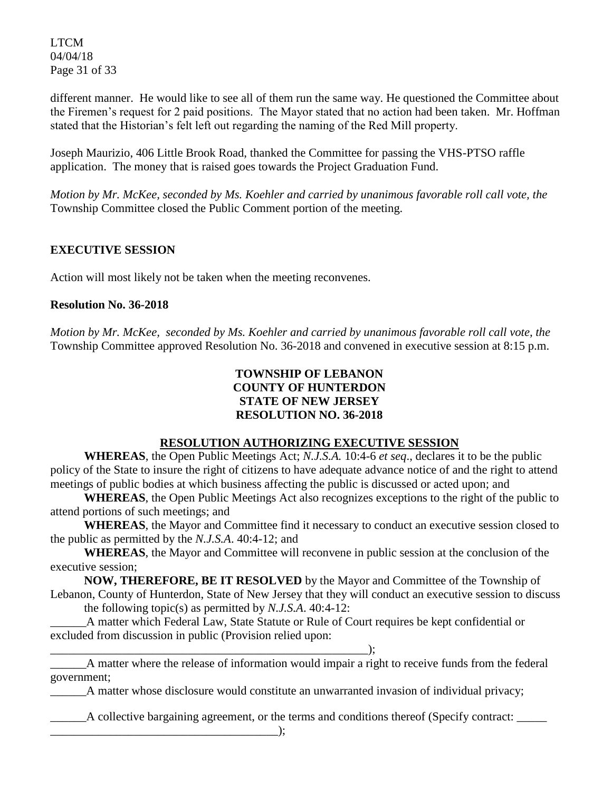LTCM 04/04/18 Page 31 of 33

different manner. He would like to see all of them run the same way. He questioned the Committee about the Firemen's request for 2 paid positions. The Mayor stated that no action had been taken. Mr. Hoffman stated that the Historian's felt left out regarding the naming of the Red Mill property.

Joseph Maurizio, 406 Little Brook Road, thanked the Committee for passing the VHS-PTSO raffle application. The money that is raised goes towards the Project Graduation Fund.

*Motion by Mr. McKee, seconded by Ms. Koehler and carried by unanimous favorable roll call vote, the*  Township Committee closed the Public Comment portion of the meeting.

# **EXECUTIVE SESSION**

Action will most likely not be taken when the meeting reconvenes.

\_\_\_\_\_\_\_\_\_\_\_\_\_\_\_\_\_\_\_\_\_\_\_\_\_\_\_\_\_\_\_\_\_\_\_\_\_\_\_\_\_\_\_\_\_\_\_\_\_\_\_\_\_);

### **Resolution No. 36-2018**

*Motion by Mr. McKee, seconded by Ms. Koehler and carried by unanimous favorable roll call vote, the* Township Committee approved Resolution No. 36-2018 and convened in executive session at 8:15 p.m.

# **TOWNSHIP OF LEBANON COUNTY OF HUNTERDON STATE OF NEW JERSEY RESOLUTION NO. 36-2018**

### **RESOLUTION AUTHORIZING EXECUTIVE SESSION**

**WHEREAS**, the Open Public Meetings Act; *N.J.S.A.* 10:4-6 *et seq*., declares it to be the public policy of the State to insure the right of citizens to have adequate advance notice of and the right to attend meetings of public bodies at which business affecting the public is discussed or acted upon; and

**WHEREAS**, the Open Public Meetings Act also recognizes exceptions to the right of the public to attend portions of such meetings; and

**WHEREAS**, the Mayor and Committee find it necessary to conduct an executive session closed to the public as permitted by the *N.J.S.A*. 40:4-12; and

**WHEREAS**, the Mayor and Committee will reconvene in public session at the conclusion of the executive session;

**NOW, THEREFORE, BE IT RESOLVED** by the Mayor and Committee of the Township of Lebanon, County of Hunterdon, State of New Jersey that they will conduct an executive session to discuss the following topic(s) as permitted by *N.J.S.A*. 40:4-12:

\_\_\_\_\_\_A matter which Federal Law, State Statute or Rule of Court requires be kept confidential or excluded from discussion in public (Provision relied upon:

\_\_\_\_\_\_A matter where the release of information would impair a right to receive funds from the federal government;

\_\_\_\_\_\_A matter whose disclosure would constitute an unwarranted invasion of individual privacy;

\_\_\_\_\_\_A collective bargaining agreement, or the terms and conditions thereof (Specify contract: \_\_\_\_\_

\_\_\_\_\_\_\_\_\_\_\_\_\_\_\_\_\_\_\_\_\_\_\_\_\_\_\_\_\_\_\_\_\_\_\_\_\_\_);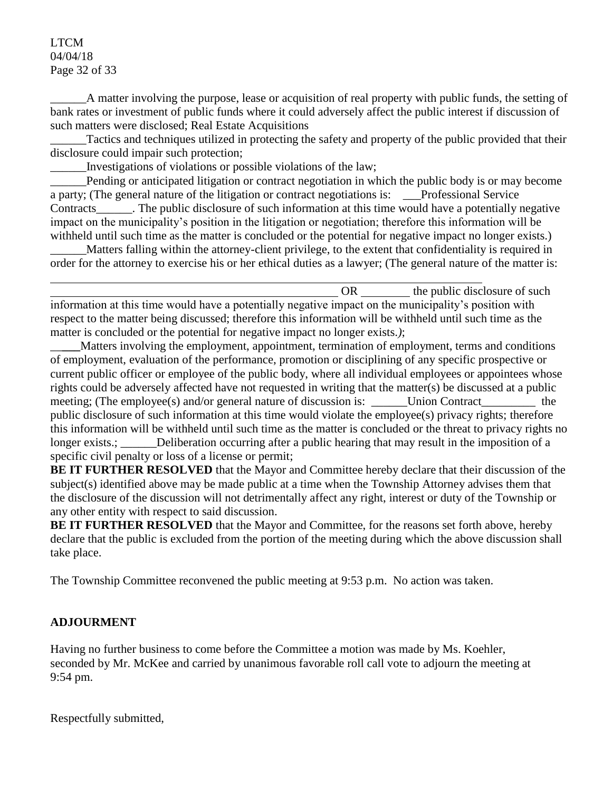### LTCM 04/04/18 Page 32 of 33

\_\_\_\_\_\_A matter involving the purpose, lease or acquisition of real property with public funds, the setting of bank rates or investment of public funds where it could adversely affect the public interest if discussion of such matters were disclosed; Real Estate Acquisitions

Tactics and techniques utilized in protecting the safety and property of the public provided that their disclosure could impair such protection;

\_\_\_\_\_\_Investigations of violations or possible violations of the law;

Pending or anticipated litigation or contract negotiation in which the public body is or may become a party; (The general nature of the litigation or contract negotiations is: \_\_\_Professional Service Contracts\_\_\_\_\_\_. The public disclosure of such information at this time would have a potentially negative impact on the municipality's position in the litigation or negotiation; therefore this information will be withheld until such time as the matter is concluded or the potential for negative impact no longer exists.)

\_\_\_\_\_\_Matters falling within the attorney-client privilege, to the extent that confidentiality is required in order for the attorney to exercise his or her ethical duties as a lawyer; (The general nature of the matter is:

OR the public disclosure of such  $\alpha$ information at this time would have a potentially negative impact on the municipality's position with respect to the matter being discussed; therefore this information will be withheld until such time as the matter is concluded or the potential for negative impact no longer exists.*)*;

\_\_**\_\_\_**Matters involving the employment, appointment, termination of employment, terms and conditions of employment, evaluation of the performance, promotion or disciplining of any specific prospective or current public officer or employee of the public body, where all individual employees or appointees whose rights could be adversely affected have not requested in writing that the matter(s) be discussed at a public meeting; (The employee(s) and/or general nature of discussion is: Union Contract the public disclosure of such information at this time would violate the employee(s) privacy rights; therefore this information will be withheld until such time as the matter is concluded or the threat to privacy rights no longer exists.; Deliberation occurring after a public hearing that may result in the imposition of a specific civil penalty or loss of a license or permit;

**BE IT FURTHER RESOLVED** that the Mayor and Committee hereby declare that their discussion of the subject(s) identified above may be made public at a time when the Township Attorney advises them that the disclosure of the discussion will not detrimentally affect any right, interest or duty of the Township or any other entity with respect to said discussion.

**BE IT FURTHER RESOLVED** that the Mayor and Committee, for the reasons set forth above, hereby declare that the public is excluded from the portion of the meeting during which the above discussion shall take place.

The Township Committee reconvened the public meeting at 9:53 p.m. No action was taken.

# **ADJOURMENT**

Having no further business to come before the Committee a motion was made by Ms. Koehler, seconded by Mr. McKee and carried by unanimous favorable roll call vote to adjourn the meeting at 9:54 pm.

Respectfully submitted,